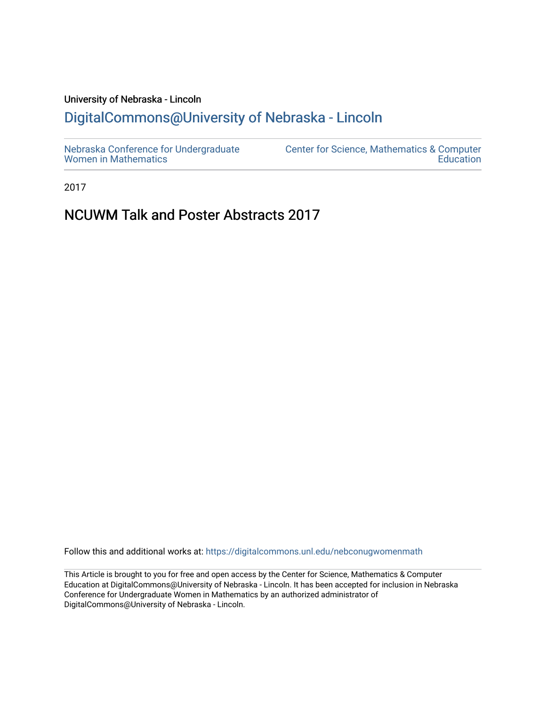# University of Nebraska - Lincoln [DigitalCommons@University of Nebraska - Lincoln](https://digitalcommons.unl.edu/)

2017

# NCUWM Talk and Poster Abstracts 2017

Follow this and additional works at: [https://digitalcommons.unl.edu/nebconugwomenmath](https://digitalcommons.unl.edu/nebconugwomenmath?utm_source=digitalcommons.unl.edu%2Fnebconugwomenmath%2F23&utm_medium=PDF&utm_campaign=PDFCoverPages)

This Article is brought to you for free and open access by the Center for Science, Mathematics & Computer Education at DigitalCommons@University of Nebraska - Lincoln. It has been accepted for inclusion in Nebraska Conference for Undergraduate Women in Mathematics by an authorized administrator of DigitalCommons@University of Nebraska - Lincoln.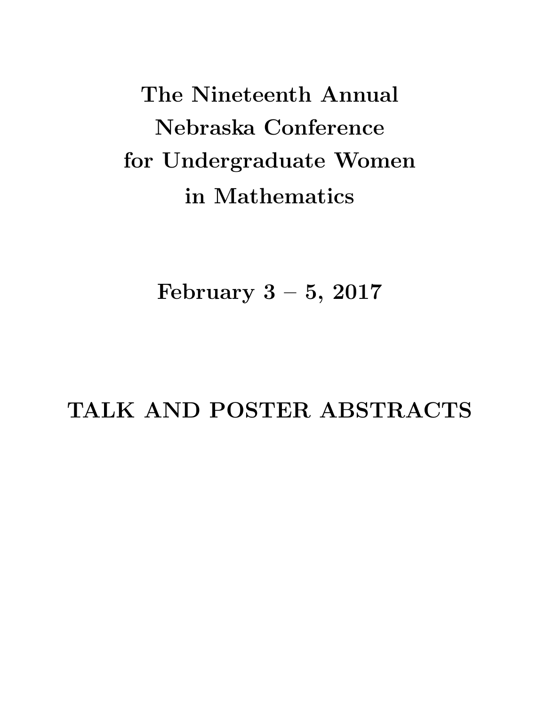The Nineteenth Annual Nebraska Conference for Undergraduate Women in Mathematics

February  $3 - 5$ , 2017

TALK AND POSTER ABSTRACTS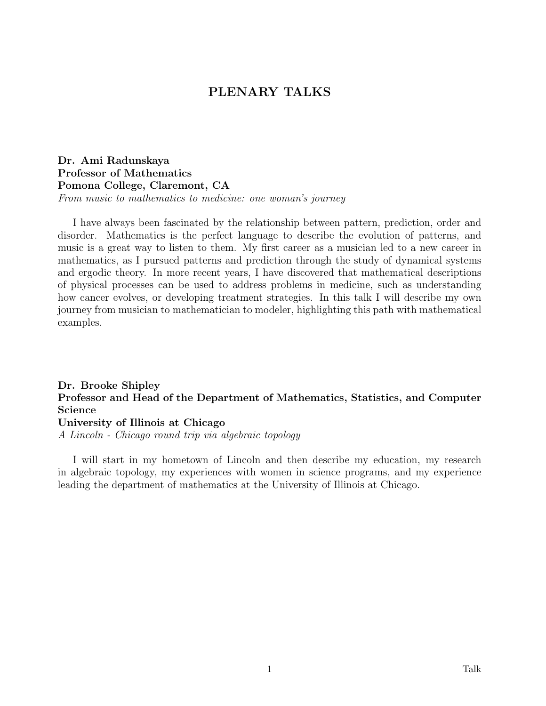# PLENARY TALKS

Dr. Ami Radunskaya Professor of Mathematics Pomona College, Claremont, CA From music to mathematics to medicine: one woman's journey

I have always been fascinated by the relationship between pattern, prediction, order and disorder. Mathematics is the perfect language to describe the evolution of patterns, and music is a great way to listen to them. My first career as a musician led to a new career in mathematics, as I pursued patterns and prediction through the study of dynamical systems and ergodic theory. In more recent years, I have discovered that mathematical descriptions of physical processes can be used to address problems in medicine, such as understanding how cancer evolves, or developing treatment strategies. In this talk I will describe my own journey from musician to mathematician to modeler, highlighting this path with mathematical examples.

# Dr. Brooke Shipley Professor and Head of the Department of Mathematics, Statistics, and Computer Science University of Illinois at Chicago

A Lincoln - Chicago round trip via algebraic topology

I will start in my hometown of Lincoln and then describe my education, my research in algebraic topology, my experiences with women in science programs, and my experience leading the department of mathematics at the University of Illinois at Chicago.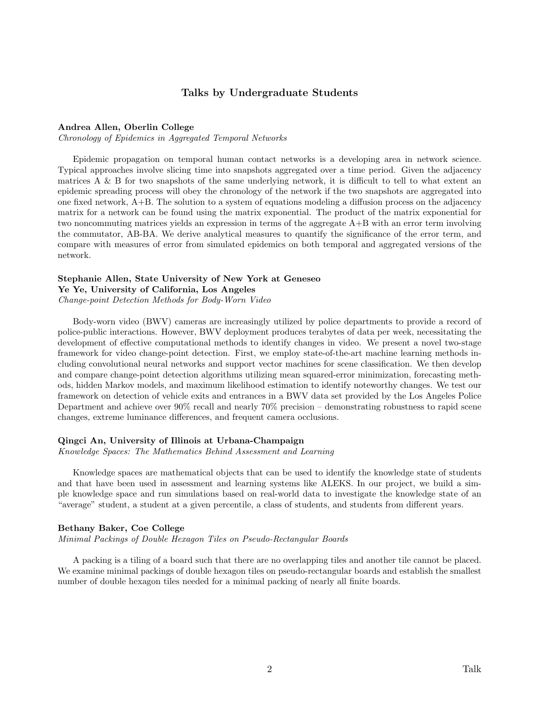# Talks by Undergraduate Students

### Andrea Allen, Oberlin College

Chronology of Epidemics in Aggregated Temporal Networks

Epidemic propagation on temporal human contact networks is a developing area in network science. Typical approaches involve slicing time into snapshots aggregated over a time period. Given the adjacency matrices A & B for two snapshots of the same underlying network, it is difficult to tell to what extent an epidemic spreading process will obey the chronology of the network if the two snapshots are aggregated into one fixed network, A+B. The solution to a system of equations modeling a diffusion process on the adjacency matrix for a network can be found using the matrix exponential. The product of the matrix exponential for two noncommuting matrices yields an expression in terms of the aggregate  $A+B$  with an error term involving the commutator, AB-BA. We derive analytical measures to quantify the significance of the error term, and compare with measures of error from simulated epidemics on both temporal and aggregated versions of the network.

# Stephanie Allen, State University of New York at Geneseo

Ye Ye, University of California, Los Angeles

Change-point Detection Methods for Body-Worn Video

Body-worn video (BWV) cameras are increasingly utilized by police departments to provide a record of police-public interactions. However, BWV deployment produces terabytes of data per week, necessitating the development of effective computational methods to identify changes in video. We present a novel two-stage framework for video change-point detection. First, we employ state-of-the-art machine learning methods including convolutional neural networks and support vector machines for scene classification. We then develop and compare change-point detection algorithms utilizing mean squared-error minimization, forecasting methods, hidden Markov models, and maximum likelihood estimation to identify noteworthy changes. We test our framework on detection of vehicle exits and entrances in a BWV data set provided by the Los Angeles Police Department and achieve over 90% recall and nearly 70% precision – demonstrating robustness to rapid scene changes, extreme luminance differences, and frequent camera occlusions.

# Qingci An, University of Illinois at Urbana-Champaign

Knowledge Spaces: The Mathematics Behind Assessment and Learning

Knowledge spaces are mathematical objects that can be used to identify the knowledge state of students and that have been used in assessment and learning systems like ALEKS. In our project, we build a simple knowledge space and run simulations based on real-world data to investigate the knowledge state of an "average" student, a student at a given percentile, a class of students, and students from different years.

### Bethany Baker, Coe College

Minimal Packings of Double Hexagon Tiles on Pseudo-Rectangular Boards

A packing is a tiling of a board such that there are no overlapping tiles and another tile cannot be placed. We examine minimal packings of double hexagon tiles on pseudo-rectangular boards and establish the smallest number of double hexagon tiles needed for a minimal packing of nearly all finite boards.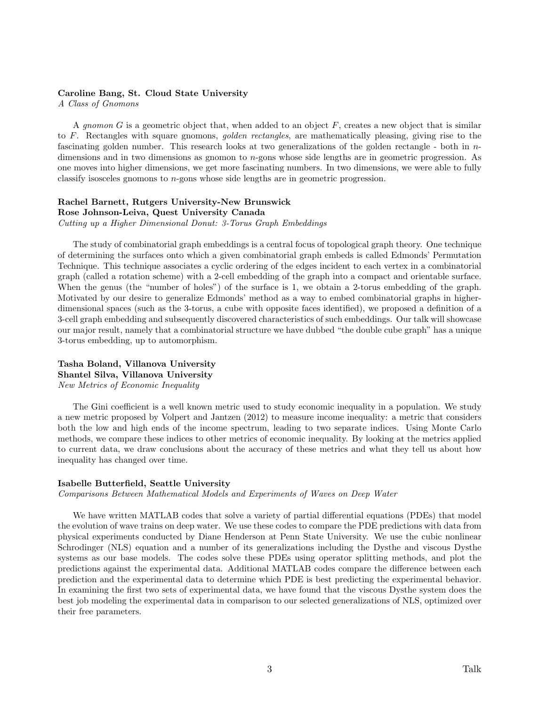# Caroline Bang, St. Cloud State University

A Class of Gnomons

A gnomon  $G$  is a geometric object that, when added to an object  $F$ , creates a new object that is similar to F. Rectangles with square gnomons, golden rectangles, are mathematically pleasing, giving rise to the fascinating golden number. This research looks at two generalizations of the golden rectangle - both in  $n$ dimensions and in two dimensions as gnomon to n-gons whose side lengths are in geometric progression. As one moves into higher dimensions, we get more fascinating numbers. In two dimensions, we were able to fully classify isosceles gnomons to  $n$ -gons whose side lengths are in geometric progression.

# Rachel Barnett, Rutgers University-New Brunswick Rose Johnson-Leiva, Quest University Canada Cutting up a Higher Dimensional Donut: 3-Torus Graph Embeddings

The study of combinatorial graph embeddings is a central focus of topological graph theory. One technique of determining the surfaces onto which a given combinatorial graph embeds is called Edmonds' Permutation Technique. This technique associates a cyclic ordering of the edges incident to each vertex in a combinatorial graph (called a rotation scheme) with a 2-cell embedding of the graph into a compact and orientable surface. When the genus (the "number of holes") of the surface is 1, we obtain a 2-torus embedding of the graph. Motivated by our desire to generalize Edmonds' method as a way to embed combinatorial graphs in higherdimensional spaces (such as the 3-torus, a cube with opposite faces identified), we proposed a definition of a 3-cell graph embedding and subsequently discovered characteristics of such embeddings. Our talk will showcase our major result, namely that a combinatorial structure we have dubbed "the double cube graph" has a unique 3-torus embedding, up to automorphism.

# Tasha Boland, Villanova University Shantel Silva, Villanova University New Metrics of Economic Inequality

The Gini coefficient is a well known metric used to study economic inequality in a population. We study a new metric proposed by Volpert and Jantzen (2012) to measure income inequality: a metric that considers both the low and high ends of the income spectrum, leading to two separate indices. Using Monte Carlo methods, we compare these indices to other metrics of economic inequality. By looking at the metrics applied to current data, we draw conclusions about the accuracy of these metrics and what they tell us about how inequality has changed over time.

### Isabelle Butterfield, Seattle University

Comparisons Between Mathematical Models and Experiments of Waves on Deep Water

We have written MATLAB codes that solve a variety of partial differential equations (PDEs) that model the evolution of wave trains on deep water. We use these codes to compare the PDE predictions with data from physical experiments conducted by Diane Henderson at Penn State University. We use the cubic nonlinear Schrodinger (NLS) equation and a number of its generalizations including the Dysthe and viscous Dysthe systems as our base models. The codes solve these PDEs using operator splitting methods, and plot the predictions against the experimental data. Additional MATLAB codes compare the difference between each prediction and the experimental data to determine which PDE is best predicting the experimental behavior. In examining the first two sets of experimental data, we have found that the viscous Dysthe system does the best job modeling the experimental data in comparison to our selected generalizations of NLS, optimized over their free parameters.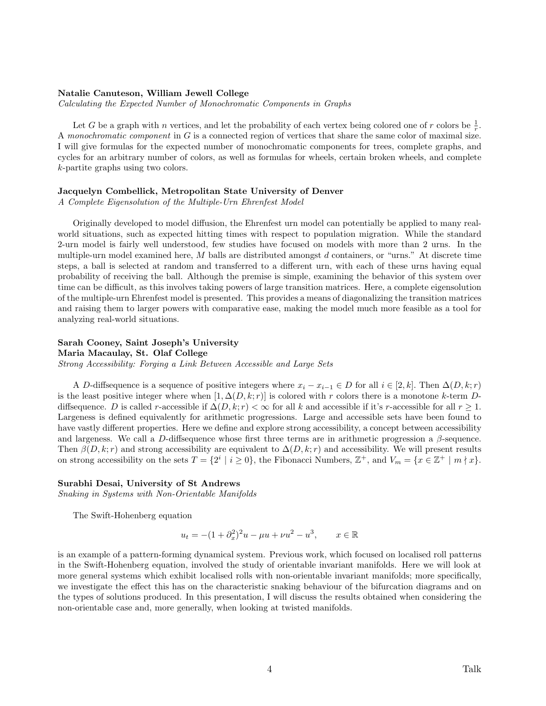### Natalie Canuteson, William Jewell College

Calculating the Expected Number of Monochromatic Components in Graphs

Let G be a graph with n vertices, and let the probability of each vertex being colored one of r colors be  $\frac{1}{r}$ . A monochromatic component in G is a connected region of vertices that share the same color of maximal size. I will give formulas for the expected number of monochromatic components for trees, complete graphs, and cycles for an arbitrary number of colors, as well as formulas for wheels, certain broken wheels, and complete k-partite graphs using two colors.

# Jacquelyn Combellick, Metropolitan State University of Denver

A Complete Eigensolution of the Multiple-Urn Ehrenfest Model

Originally developed to model diffusion, the Ehrenfest urn model can potentially be applied to many realworld situations, such as expected hitting times with respect to population migration. While the standard 2-urn model is fairly well understood, few studies have focused on models with more than 2 urns. In the multiple-urn model examined here,  $M$  balls are distributed amongst  $d$  containers, or "urns." At discrete time steps, a ball is selected at random and transferred to a different urn, with each of these urns having equal probability of receiving the ball. Although the premise is simple, examining the behavior of this system over time can be difficult, as this involves taking powers of large transition matrices. Here, a complete eigensolution of the multiple-urn Ehrenfest model is presented. This provides a means of diagonalizing the transition matrices and raising them to larger powers with comparative ease, making the model much more feasible as a tool for analyzing real-world situations.

# Sarah Cooney, Saint Joseph's University

Maria Macaulay, St. Olaf College

Strong Accessibility: Forging a Link Between Accessible and Large Sets

A D-diffsequence is a sequence of positive integers where  $x_i - x_{i-1} \in D$  for all  $i \in [2, k]$ . Then  $\Delta(D, k; r)$ is the least positive integer where when  $[1, \Delta(D, k; r)]$  is colored with r colors there is a monotone k-term Ddiffsequence. D is called r-accessible if  $\Delta(D, k; r) < \infty$  for all k and accessible if it's r-accessible for all  $r \geq 1$ . Largeness is defined equivalently for arithmetic progressions. Large and accessible sets have been found to have vastly different properties. Here we define and explore strong accessibility, a concept between accessibility and largeness. We call a D-diffsequence whose first three terms are in arithmetic progression a  $\beta$ -sequence. Then  $\beta(D, k; r)$  and strong accessibility are equivalent to  $\Delta(D, k; r)$  and accessibility. We will present results on strong accessibility on the sets  $T = \{2^i \mid i \ge 0\}$ , the Fibonacci Numbers,  $\mathbb{Z}^+$ , and  $V_m = \{x \in \mathbb{Z}^+ \mid m \nmid x\}$ .

# Surabhi Desai, University of St Andrews

Snaking in Systems with Non-Orientable Manifolds

The Swift-Hohenberg equation

$$
u_t = -(1 + \partial_x^2)^2 u - \mu u + \nu u^2 - u^3, \qquad x \in \mathbb{R}
$$

is an example of a pattern-forming dynamical system. Previous work, which focused on localised roll patterns in the Swift-Hohenberg equation, involved the study of orientable invariant manifolds. Here we will look at more general systems which exhibit localised rolls with non-orientable invariant manifolds; more specifically, we investigate the effect this has on the characteristic snaking behaviour of the bifurcation diagrams and on the types of solutions produced. In this presentation, I will discuss the results obtained when considering the non-orientable case and, more generally, when looking at twisted manifolds.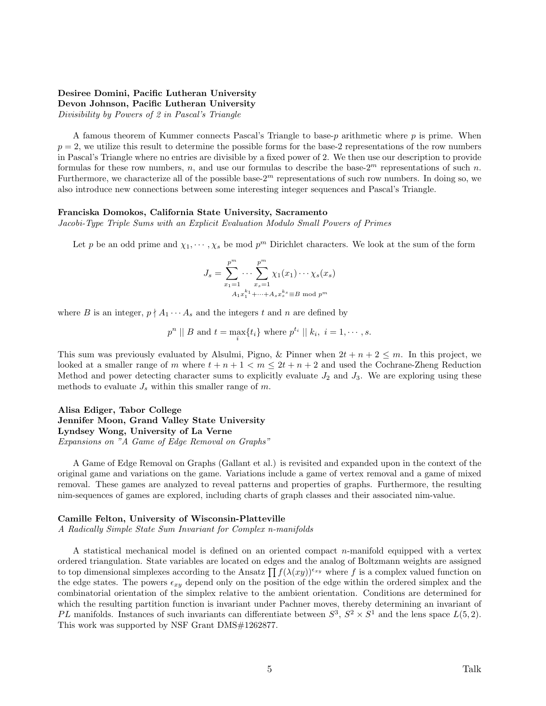# Desiree Domini, Pacific Lutheran University Devon Johnson, Pacific Lutheran University

Divisibility by Powers of 2 in Pascal's Triangle

A famous theorem of Kummer connects Pascal's Triangle to base- $p$  arithmetic where  $p$  is prime. When  $p = 2$ , we utilize this result to determine the possible forms for the base-2 representations of the row numbers in Pascal's Triangle where no entries are divisible by a fixed power of 2. We then use our description to provide formulas for these row numbers, n, and use our formulas to describe the base- $2^m$  representations of such n. Furthermore, we characterize all of the possible base- $2<sup>m</sup>$  representations of such row numbers. In doing so, we also introduce new connections between some interesting integer sequences and Pascal's Triangle.

### Franciska Domokos, California State University, Sacramento

Jacobi-Type Triple Sums with an Explicit Evaluation Modulo Small Powers of Primes

Let p be an odd prime and  $\chi_1, \dots, \chi_s$  be mod  $p^m$  Dirichlet characters. We look at the sum of the form

$$
J_s = \sum_{x_1=1}^{p^m} \cdots \sum_{x_s=1}^{p^m} \chi_1(x_1) \cdots \chi_s(x_s)
$$
  

$$
A_1 x_1^{k_1} + \cdots + A_s x_s^{k_s} \equiv B \mod p^m
$$

where B is an integer,  $p \nmid A_1 \cdots A_s$  and the integers t and n are defined by

$$
p^n \mid B \text{ and } t = \max_i \{t_i\} \text{ where } p^{t_i} \mid k_i, i = 1, \cdots, s.
$$

This sum was previously evaluated by Alsulmi, Pigno, & Pinner when  $2t + n + 2 \leq m$ . In this project, we looked at a smaller range of m where  $t + n + 1 < m \leq 2t + n + 2$  and used the Cochrane-Zheng Reduction Method and power detecting character sums to explicitly evaluate  $J_2$  and  $J_3$ . We are exploring using these methods to evaluate  $J_s$  within this smaller range of m.

Alisa Ediger, Tabor College Jennifer Moon, Grand Valley State University Lyndsey Wong, University of La Verne Expansions on "A Game of Edge Removal on Graphs"

A Game of Edge Removal on Graphs (Gallant et al.) is revisited and expanded upon in the context of the original game and variations on the game. Variations include a game of vertex removal and a game of mixed removal. These games are analyzed to reveal patterns and properties of graphs. Furthermore, the resulting nim-sequences of games are explored, including charts of graph classes and their associated nim-value.

### Camille Felton, University of Wisconsin-Platteville

A Radically Simple State Sum Invariant for Complex n-manifolds

A statistical mechanical model is defined on an oriented compact n-manifold equipped with a vertex ordered triangulation. State variables are located on edges and the analog of Boltzmann weights are assigned to top dimensional simplexes according to the Ansatz  $\prod f(\lambda(xy))^{\epsilon_{xy}}$  where f is a complex valued function on the edge states. The powers  $\epsilon_{xy}$  depend only on the position of the edge within the ordered simplex and the combinatorial orientation of the simplex relative to the ambient orientation. Conditions are determined for which the resulting partition function is invariant under Pachner moves, thereby determining an invariant of PL manifolds. Instances of such invariants can differentiate between  $S^3$ ,  $S^2 \times S^1$  and the lens space  $L(5,2)$ . This work was supported by NSF Grant DMS#1262877.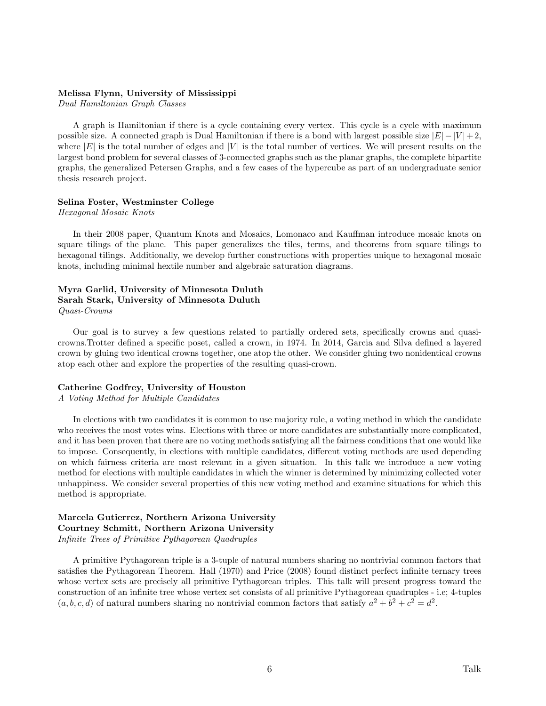### Melissa Flynn, University of Mississippi

Dual Hamiltonian Graph Classes

A graph is Hamiltonian if there is a cycle containing every vertex. This cycle is a cycle with maximum possible size. A connected graph is Dual Hamiltonian if there is a bond with largest possible size  $|E| - |V| + 2$ , where  $|E|$  is the total number of edges and  $|V|$  is the total number of vertices. We will present results on the largest bond problem for several classes of 3-connected graphs such as the planar graphs, the complete bipartite graphs, the generalized Petersen Graphs, and a few cases of the hypercube as part of an undergraduate senior thesis research project.

### Selina Foster, Westminster College

Hexagonal Mosaic Knots

In their 2008 paper, Quantum Knots and Mosaics, Lomonaco and Kauffman introduce mosaic knots on square tilings of the plane. This paper generalizes the tiles, terms, and theorems from square tilings to hexagonal tilings. Additionally, we develop further constructions with properties unique to hexagonal mosaic knots, including minimal hextile number and algebraic saturation diagrams.

# Myra Garlid, University of Minnesota Duluth Sarah Stark, University of Minnesota Duluth Quasi-Crowns

Our goal is to survey a few questions related to partially ordered sets, specifically crowns and quasicrowns.Trotter defined a specific poset, called a crown, in 1974. In 2014, Garcia and Silva defined a layered crown by gluing two identical crowns together, one atop the other. We consider gluing two nonidentical crowns atop each other and explore the properties of the resulting quasi-crown.

### Catherine Godfrey, University of Houston

A Voting Method for Multiple Candidates

In elections with two candidates it is common to use majority rule, a voting method in which the candidate who receives the most votes wins. Elections with three or more candidates are substantially more complicated, and it has been proven that there are no voting methods satisfying all the fairness conditions that one would like to impose. Consequently, in elections with multiple candidates, different voting methods are used depending on which fairness criteria are most relevant in a given situation. In this talk we introduce a new voting method for elections with multiple candidates in which the winner is determined by minimizing collected voter unhappiness. We consider several properties of this new voting method and examine situations for which this method is appropriate.

# Marcela Gutierrez, Northern Arizona University Courtney Schmitt, Northern Arizona University Infinite Trees of Primitive Pythagorean Quadruples

A primitive Pythagorean triple is a 3-tuple of natural numbers sharing no nontrivial common factors that satisfies the Pythagorean Theorem. Hall (1970) and Price (2008) found distinct perfect infinite ternary trees whose vertex sets are precisely all primitive Pythagorean triples. This talk will present progress toward the construction of an infinite tree whose vertex set consists of all primitive Pythagorean quadruples - i.e; 4-tuples  $(a, b, c, d)$  of natural numbers sharing no nontrivial common factors that satisfy  $a^2 + b^2 + c^2 = d^2$ .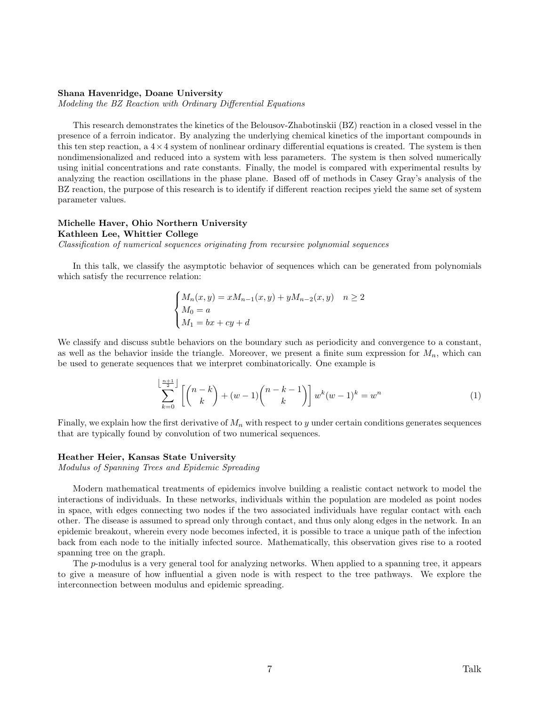### Shana Havenridge, Doane University

Modeling the BZ Reaction with Ordinary Differential Equations

This research demonstrates the kinetics of the Belousov-Zhabotinskii (BZ) reaction in a closed vessel in the presence of a ferroin indicator. By analyzing the underlying chemical kinetics of the important compounds in this ten step reaction, a  $4 \times 4$  system of nonlinear ordinary differential equations is created. The system is then nondimensionalized and reduced into a system with less parameters. The system is then solved numerically using initial concentrations and rate constants. Finally, the model is compared with experimental results by analyzing the reaction oscillations in the phase plane. Based off of methods in Casey Gray's analysis of the BZ reaction, the purpose of this research is to identify if different reaction recipes yield the same set of system parameter values.

### Michelle Haver, Ohio Northern University

Kathleen Lee, Whittier College

Classification of numerical sequences originating from recursive polynomial sequences

In this talk, we classify the asymptotic behavior of sequences which can be generated from polynomials which satisfy the recurrence relation:

$$
\begin{cases}\nM_n(x, y) = xM_{n-1}(x, y) + yM_{n-2}(x, y) & n \ge 2 \\
M_0 = a \\
M_1 = bx + cy + d\n\end{cases}
$$

We classify and discuss subtle behaviors on the boundary such as periodicity and convergence to a constant, as well as the behavior inside the triangle. Moreover, we present a finite sum expression for  $M_n$ , which can be used to generate sequences that we interpret combinatorically. One example is

$$
\sum_{k=0}^{\left\lfloor \frac{n+1}{2} \right\rfloor} \left[ \binom{n-k}{k} + (w-1) \binom{n-k-1}{k} \right] w^k (w-1)^k = w^n \tag{1}
$$

Finally, we explain how the first derivative of  $M_n$  with respect to y under certain conditions generates sequences that are typically found by convolution of two numerical sequences.

### Heather Heier, Kansas State University

Modulus of Spanning Trees and Epidemic Spreading

Modern mathematical treatments of epidemics involve building a realistic contact network to model the interactions of individuals. In these networks, individuals within the population are modeled as point nodes in space, with edges connecting two nodes if the two associated individuals have regular contact with each other. The disease is assumed to spread only through contact, and thus only along edges in the network. In an epidemic breakout, wherein every node becomes infected, it is possible to trace a unique path of the infection back from each node to the initially infected source. Mathematically, this observation gives rise to a rooted spanning tree on the graph.

The  $p$ -modulus is a very general tool for analyzing networks. When applied to a spanning tree, it appears to give a measure of how influential a given node is with respect to the tree pathways. We explore the interconnection between modulus and epidemic spreading.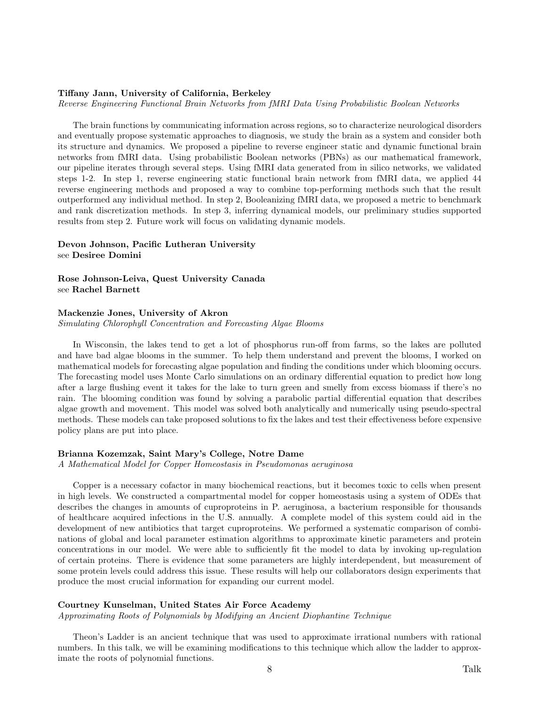### Tiffany Jann, University of California, Berkeley

Reverse Engineering Functional Brain Networks from fMRI Data Using Probabilistic Boolean Networks

The brain functions by communicating information across regions, so to characterize neurological disorders and eventually propose systematic approaches to diagnosis, we study the brain as a system and consider both its structure and dynamics. We proposed a pipeline to reverse engineer static and dynamic functional brain networks from fMRI data. Using probabilistic Boolean networks (PBNs) as our mathematical framework, our pipeline iterates through several steps. Using fMRI data generated from in silico networks, we validated steps 1-2. In step 1, reverse engineering static functional brain network from fMRI data, we applied 44 reverse engineering methods and proposed a way to combine top-performing methods such that the result outperformed any individual method. In step 2, Booleanizing fMRI data, we proposed a metric to benchmark and rank discretization methods. In step 3, inferring dynamical models, our preliminary studies supported results from step 2. Future work will focus on validating dynamic models.

# Devon Johnson, Pacific Lutheran University see Desiree Domini

Rose Johnson-Leiva, Quest University Canada see Rachel Barnett

# Mackenzie Jones, University of Akron

Simulating Chlorophyll Concentration and Forecasting Algae Blooms

In Wisconsin, the lakes tend to get a lot of phosphorus run-off from farms, so the lakes are polluted and have bad algae blooms in the summer. To help them understand and prevent the blooms, I worked on mathematical models for forecasting algae population and finding the conditions under which blooming occurs. The forecasting model uses Monte Carlo simulations on an ordinary differential equation to predict how long after a large flushing event it takes for the lake to turn green and smelly from excess biomass if there's no rain. The blooming condition was found by solving a parabolic partial differential equation that describes algae growth and movement. This model was solved both analytically and numerically using pseudo-spectral methods. These models can take proposed solutions to fix the lakes and test their effectiveness before expensive policy plans are put into place.

### Brianna Kozemzak, Saint Mary's College, Notre Dame

A Mathematical Model for Copper Homeostasis in Pseudomonas aeruginosa

Copper is a necessary cofactor in many biochemical reactions, but it becomes toxic to cells when present in high levels. We constructed a compartmental model for copper homeostasis using a system of ODEs that describes the changes in amounts of cuproproteins in P. aeruginosa, a bacterium responsible for thousands of healthcare acquired infections in the U.S. annually. A complete model of this system could aid in the development of new antibiotics that target cuproproteins. We performed a systematic comparison of combinations of global and local parameter estimation algorithms to approximate kinetic parameters and protein concentrations in our model. We were able to sufficiently fit the model to data by invoking up-regulation of certain proteins. There is evidence that some parameters are highly interdependent, but measurement of some protein levels could address this issue. These results will help our collaborators design experiments that produce the most crucial information for expanding our current model.

### Courtney Kunselman, United States Air Force Academy

Approximating Roots of Polynomials by Modifying an Ancient Diophantine Technique

Theon's Ladder is an ancient technique that was used to approximate irrational numbers with rational numbers. In this talk, we will be examining modifications to this technique which allow the ladder to approximate the roots of polynomial functions.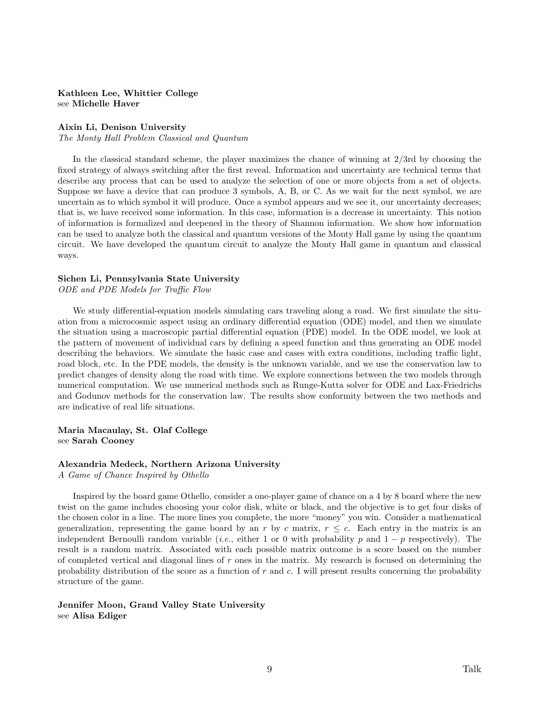# Kathleen Lee, Whittier College see Michelle Haver

### Aixin Li, Denison University

The Monty Hall Problem Classical and Quantum

In the classical standard scheme, the player maximizes the chance of winning at 2/3rd by choosing the fixed strategy of always switching after the first reveal. Information and uncertainty are technical terms that describe any process that can be used to analyze the selection of one or more objects from a set of objects. Suppose we have a device that can produce 3 symbols, A, B, or C. As we wait for the next symbol, we are uncertain as to which symbol it will produce. Once a symbol appears and we see it, our uncertainty decreases; that is, we have received some information. In this case, information is a decrease in uncertainty. This notion of information is formalized and deepened in the theory of Shannon information. We show how information can be used to analyze both the classical and quantum versions of the Monty Hall game by using the quantum circuit. We have developed the quantum circuit to analyze the Monty Hall game in quantum and classical ways.

# Sichen Li, Pennsylvania State University

ODE and PDE Models for Traffic Flow

We study differential-equation models simulating cars traveling along a road. We first simulate the situation from a microcosmic aspect using an ordinary differential equation (ODE) model, and then we simulate the situation using a macroscopic partial differential equation (PDE) model. In the ODE model, we look at the pattern of movement of individual cars by defining a speed function and thus generating an ODE model describing the behaviors. We simulate the basic case and cases with extra conditions, including traffic light, road block, etc. In the PDE models, the density is the unknown variable, and we use the conservation law to predict changes of density along the road with time. We explore connections between the two models through numerical computation. We use numerical methods such as Runge-Kutta solver for ODE and Lax-Friedrichs and Godunov methods for the conservation law. The results show conformity between the two methods and are indicative of real life situations.

Maria Macaulay, St. Olaf College see Sarah Cooney

### Alexandria Medeck, Northern Arizona University

A Game of Chance Inspired by Othello

Inspired by the board game Othello, consider a one-player game of chance on a 4 by 8 board where the new twist on the game includes choosing your color disk, white or black, and the objective is to get four disks of the chosen color in a line. The more lines you complete, the more "money" you win. Consider a mathematical generalization, representing the game board by an r by c matrix,  $r \leq c$ . Each entry in the matrix is an independent Bernoulli random variable (*i.e.*, either 1 or 0 with probability p and  $1 - p$  respectively). The result is a random matrix. Associated with each possible matrix outcome is a score based on the number of completed vertical and diagonal lines of  $r$  ones in the matrix. My research is focused on determining the probability distribution of the score as a function of  $r$  and  $c$ . I will present results concerning the probability structure of the game.

Jennifer Moon, Grand Valley State University see Alisa Ediger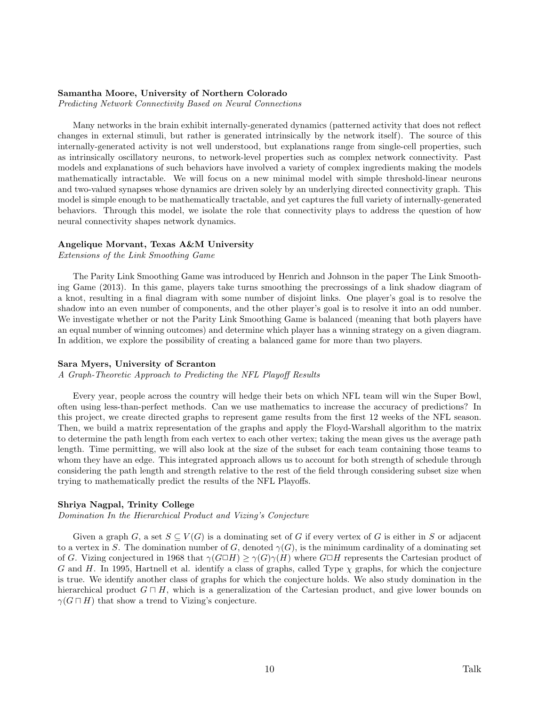# Samantha Moore, University of Northern Colorado

Predicting Network Connectivity Based on Neural Connections

Many networks in the brain exhibit internally-generated dynamics (patterned activity that does not reflect changes in external stimuli, but rather is generated intrinsically by the network itself). The source of this internally-generated activity is not well understood, but explanations range from single-cell properties, such as intrinsically oscillatory neurons, to network-level properties such as complex network connectivity. Past models and explanations of such behaviors have involved a variety of complex ingredients making the models mathematically intractable. We will focus on a new minimal model with simple threshold-linear neurons and two-valued synapses whose dynamics are driven solely by an underlying directed connectivity graph. This model is simple enough to be mathematically tractable, and yet captures the full variety of internally-generated behaviors. Through this model, we isolate the role that connectivity plays to address the question of how neural connectivity shapes network dynamics.

### Angelique Morvant, Texas A&M University

Extensions of the Link Smoothing Game

The Parity Link Smoothing Game was introduced by Henrich and Johnson in the paper The Link Smoothing Game (2013). In this game, players take turns smoothing the precrossings of a link shadow diagram of a knot, resulting in a final diagram with some number of disjoint links. One player's goal is to resolve the shadow into an even number of components, and the other player's goal is to resolve it into an odd number. We investigate whether or not the Parity Link Smoothing Game is balanced (meaning that both players have an equal number of winning outcomes) and determine which player has a winning strategy on a given diagram. In addition, we explore the possibility of creating a balanced game for more than two players.

### Sara Myers, University of Scranton

A Graph-Theoretic Approach to Predicting the NFL Playoff Results

Every year, people across the country will hedge their bets on which NFL team will win the Super Bowl, often using less-than-perfect methods. Can we use mathematics to increase the accuracy of predictions? In this project, we create directed graphs to represent game results from the first 12 weeks of the NFL season. Then, we build a matrix representation of the graphs and apply the Floyd-Warshall algorithm to the matrix to determine the path length from each vertex to each other vertex; taking the mean gives us the average path length. Time permitting, we will also look at the size of the subset for each team containing those teams to whom they have an edge. This integrated approach allows us to account for both strength of schedule through considering the path length and strength relative to the rest of the field through considering subset size when trying to mathematically predict the results of the NFL Playoffs.

# Shriya Nagpal, Trinity College

Domination In the Hierarchical Product and Vizing's Conjecture

Given a graph G, a set  $S \subseteq V(G)$  is a dominating set of G if every vertex of G is either in S or adjacent to a vertex in S. The domination number of G, denoted  $\gamma(G)$ , is the minimum cardinality of a dominating set of G. Vizing conjectured in 1968 that  $\gamma(G \Box H) \geq \gamma(G)\gamma(H)$  where  $G \Box H$  represents the Cartesian product of G and H. In 1995, Hartnell et al. identify a class of graphs, called Type  $\chi$  graphs, for which the conjecture is true. We identify another class of graphs for which the conjecture holds. We also study domination in the hierarchical product  $G \sqcap H$ , which is a generalization of the Cartesian product, and give lower bounds on  $\gamma(G \cap H)$  that show a trend to Vizing's conjecture.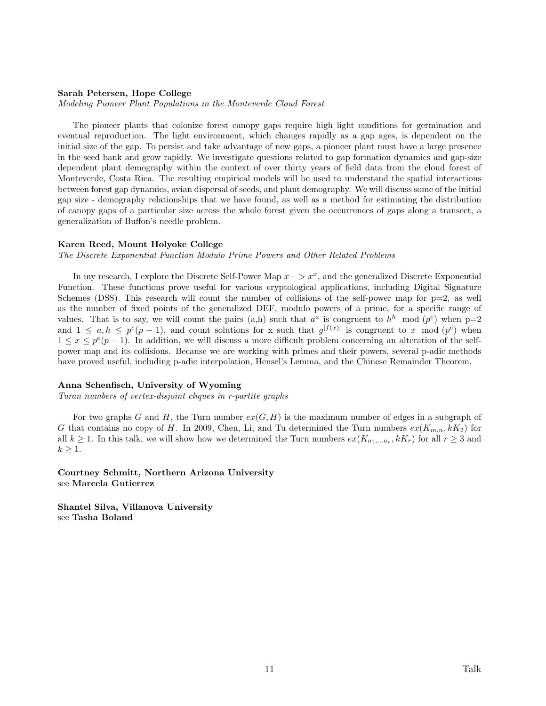### Sarah Petersen, Hope College

Modeling Pioneer Plant Populations in the Monteverde Cloud Forest

The pioneer plants that colonize forest canopy gaps require high light conditions for germination and eventual reproduction. The light environment, which changes rapidly as a gap ages, is dependent on the initial size of the gap. To persist and take advantage of new gaps, a pioneer plant must have a large presence in the seed bank and grow rapidly. We investigate questions related to gap formation dynamics and gap-size dependent plant demography within the context of over thirty years of field data from the cloud forest of Monteverde, Costa Rica. The resulting empirical models will be used to understand the spatial interactions between forest gap dynamics, avian dispersal of seeds, and plant demography. We will discuss some of the initial gap size - demography relationships that we have found, as well as a method for estimating the distribution of canopy gaps of a particular size across the whole forest given the occurrences of gaps along a transect, a generalization of Buffon's needle problem.

### Karen Reed, Mount Holyoke College

The Discrete Exponential Function Modulo Prime Powers and Other Related Problems

In my research, I explore the Discrete Self-Power Map  $x - \geq x^x$ , and the generalized Discrete Exponential Function. These functions prove useful for various cryptological applications, including Digital Signature Schemes (DSS). This research will count the number of collisions of the self-power map for  $p=2$ , as well as the number of fixed points of the generalized DEF, modulo powers of a prime, for a specific range of values. That is to say, we will count the pairs  $(a,h)$  such that  $a^a$  is congruent to  $h^h$  mod  $(p^e)$  when  $p=2$ and  $1 \leq a, h \leq p^e(p-1)$ , and count solutions for x such that  $g^{[f(x)]}$  is congruent to x mod  $(p^e)$  when  $1 \leq x \leq p^e(p-1)$ . In addition, we will discuss a more difficult problem concerning an alteration of the selfpower map and its collisions. Because we are working with primes and their powers, several p-adic methods have proved useful, including p-adic interpolation, Hensel's Lemma, and the Chinese Remainder Theorem.

#### Anna Schenfisch, University of Wyoming

Turan numbers of vertex-disjoint cliques in r-partite graphs

For two graphs G and H, the Turn number  $ex(G, H)$  is the maximum number of edges in a subgraph of G that contains no copy of H. In 2009, Chen, Li, and Tu determined the Turn numbers  $ex(K_{m,n}, kK_2)$  for all  $k \geq 1$ . In this talk, we will show how we determined the Turn numbers  $ex(K_{a_1,...a_r}, kK_r)$  for all  $r \geq 3$  and  $k \geq 1$ .

Courtney Schmitt, Northern Arizona University see Marcela Gutierrez

Shantel Silva, Villanova University see Tasha Boland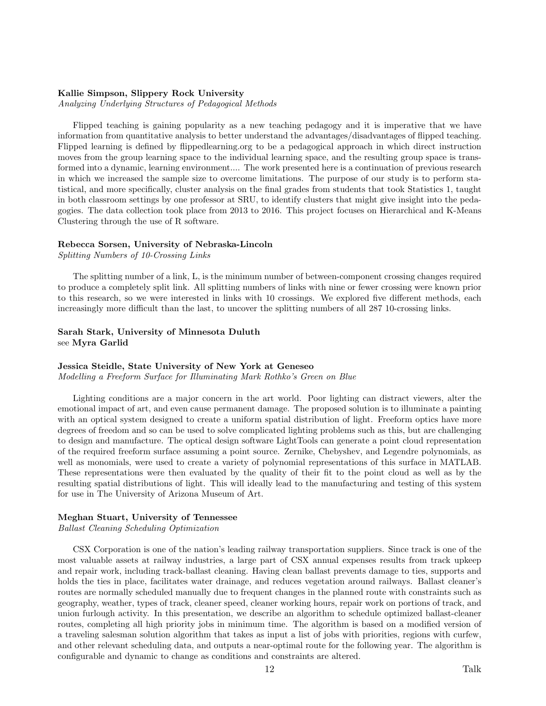# Kallie Simpson, Slippery Rock University

Analyzing Underlying Structures of Pedagogical Methods

Flipped teaching is gaining popularity as a new teaching pedagogy and it is imperative that we have information from quantitative analysis to better understand the advantages/disadvantages of flipped teaching. Flipped learning is defined by flippedlearning.org to be a pedagogical approach in which direct instruction moves from the group learning space to the individual learning space, and the resulting group space is transformed into a dynamic, learning environment.... The work presented here is a continuation of previous research in which we increased the sample size to overcome limitations. The purpose of our study is to perform statistical, and more specifically, cluster analysis on the final grades from students that took Statistics 1, taught in both classroom settings by one professor at SRU, to identify clusters that might give insight into the pedagogies. The data collection took place from 2013 to 2016. This project focuses on Hierarchical and K-Means Clustering through the use of R software.

### Rebecca Sorsen, University of Nebraska-Lincoln

Splitting Numbers of 10-Crossing Links

The splitting number of a link, L, is the minimum number of between-component crossing changes required to produce a completely split link. All splitting numbers of links with nine or fewer crossing were known prior to this research, so we were interested in links with 10 crossings. We explored five different methods, each increasingly more difficult than the last, to uncover the splitting numbers of all 287 10-crossing links.

# Sarah Stark, University of Minnesota Duluth see Myra Garlid

### Jessica Steidle, State University of New York at Geneseo

Modelling a Freeform Surface for Illuminating Mark Rothko's Green on Blue

Lighting conditions are a major concern in the art world. Poor lighting can distract viewers, alter the emotional impact of art, and even cause permanent damage. The proposed solution is to illuminate a painting with an optical system designed to create a uniform spatial distribution of light. Freeform optics have more degrees of freedom and so can be used to solve complicated lighting problems such as this, but are challenging to design and manufacture. The optical design software LightTools can generate a point cloud representation of the required freeform surface assuming a point source. Zernike, Chebyshev, and Legendre polynomials, as well as monomials, were used to create a variety of polynomial representations of this surface in MATLAB. These representations were then evaluated by the quality of their fit to the point cloud as well as by the resulting spatial distributions of light. This will ideally lead to the manufacturing and testing of this system for use in The University of Arizona Museum of Art.

### Meghan Stuart, University of Tennessee

Ballast Cleaning Scheduling Optimization

CSX Corporation is one of the nation's leading railway transportation suppliers. Since track is one of the most valuable assets at railway industries, a large part of CSX annual expenses results from track upkeep and repair work, including track-ballast cleaning. Having clean ballast prevents damage to ties, supports and holds the ties in place, facilitates water drainage, and reduces vegetation around railways. Ballast cleaner's routes are normally scheduled manually due to frequent changes in the planned route with constraints such as geography, weather, types of track, cleaner speed, cleaner working hours, repair work on portions of track, and union furlough activity. In this presentation, we describe an algorithm to schedule optimized ballast-cleaner routes, completing all high priority jobs in minimum time. The algorithm is based on a modified version of a traveling salesman solution algorithm that takes as input a list of jobs with priorities, regions with curfew, and other relevant scheduling data, and outputs a near-optimal route for the following year. The algorithm is configurable and dynamic to change as conditions and constraints are altered.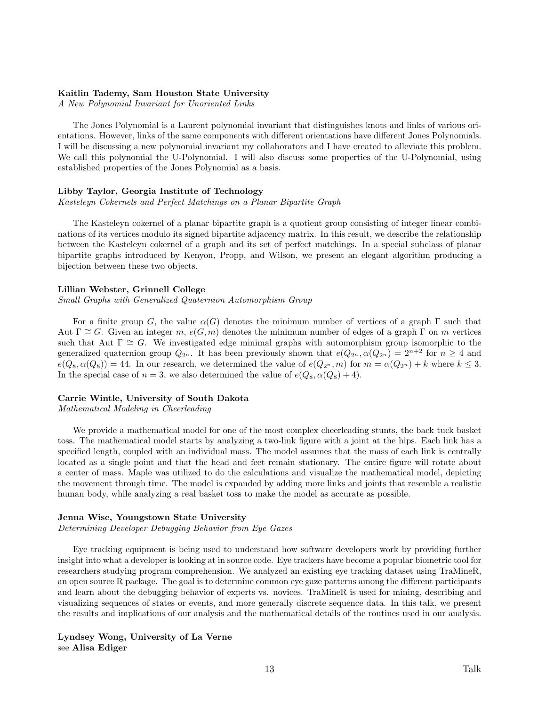### Kaitlin Tademy, Sam Houston State University

A New Polynomial Invariant for Unoriented Links

The Jones Polynomial is a Laurent polynomial invariant that distinguishes knots and links of various orientations. However, links of the same components with different orientations have different Jones Polynomials. I will be discussing a new polynomial invariant my collaborators and I have created to alleviate this problem. We call this polynomial the U-Polynomial. I will also discuss some properties of the U-Polynomial, using established properties of the Jones Polynomial as a basis.

### Libby Taylor, Georgia Institute of Technology

Kasteleyn Cokernels and Perfect Matchings on a Planar Bipartite Graph

The Kasteleyn cokernel of a planar bipartite graph is a quotient group consisting of integer linear combinations of its vertices modulo its signed bipartite adjacency matrix. In this result, we describe the relationship between the Kasteleyn cokernel of a graph and its set of perfect matchings. In a special subclass of planar bipartite graphs introduced by Kenyon, Propp, and Wilson, we present an elegant algorithm producing a bijection between these two objects.

### Lillian Webster, Grinnell College

Small Graphs with Generalized Quaternion Automorphism Group

For a finite group G, the value  $\alpha(G)$  denotes the minimum number of vertices of a graph  $\Gamma$  such that Aut  $\Gamma \cong G$ . Given an integer m,  $e(G, m)$  denotes the minimum number of edges of a graph  $\Gamma$  on m vertices such that Aut  $\Gamma \cong G$ . We investigated edge minimal graphs with automorphism group isomorphic to the generalized quaternion group  $Q_{2^n}$ . It has been previously shown that  $e(Q_{2^n}, \alpha(Q_{2^n}) = 2^{n+2}$  for  $n \geq 4$  and  $e(Q_8, \alpha(Q_8)) = 44.$  In our research, we determined the value of  $e(Q_{2^n}, m)$  for  $m = \alpha(Q_{2^n}) + k$  where  $k \leq 3$ . In the special case of  $n = 3$ , we also determined the value of  $e(Q_8, \alpha(Q_8) + 4)$ .

# Carrie Wintle, University of South Dakota

Mathematical Modeling in Cheerleading

We provide a mathematical model for one of the most complex cheerleading stunts, the back tuck basket toss. The mathematical model starts by analyzing a two-link figure with a joint at the hips. Each link has a specified length, coupled with an individual mass. The model assumes that the mass of each link is centrally located as a single point and that the head and feet remain stationary. The entire figure will rotate about a center of mass. Maple was utilized to do the calculations and visualize the mathematical model, depicting the movement through time. The model is expanded by adding more links and joints that resemble a realistic human body, while analyzing a real basket toss to make the model as accurate as possible.

### Jenna Wise, Youngstown State University

Determining Developer Debugging Behavior from Eye Gazes

Eye tracking equipment is being used to understand how software developers work by providing further insight into what a developer is looking at in source code. Eye trackers have become a popular biometric tool for researchers studying program comprehension. We analyzed an existing eye tracking dataset using TraMineR, an open source R package. The goal is to determine common eye gaze patterns among the different participants and learn about the debugging behavior of experts vs. novices. TraMineR is used for mining, describing and visualizing sequences of states or events, and more generally discrete sequence data. In this talk, we present the results and implications of our analysis and the mathematical details of the routines used in our analysis.

Lyndsey Wong, University of La Verne see Alisa Ediger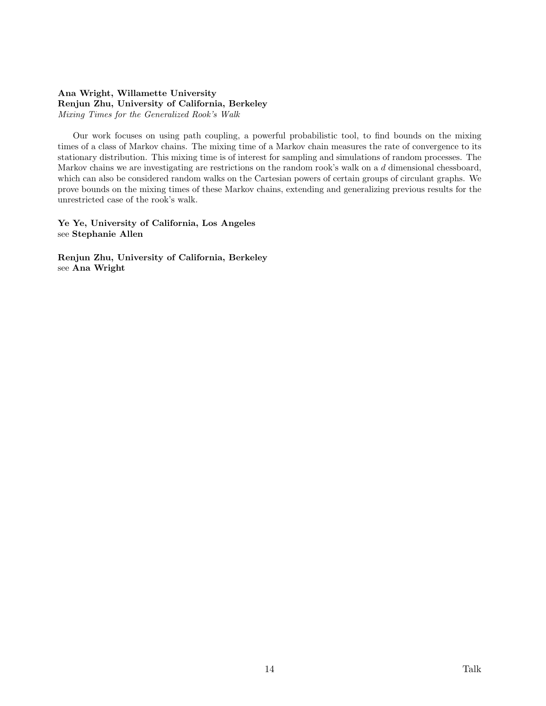# Ana Wright, Willamette University Renjun Zhu, University of California, Berkeley Mixing Times for the Generalized Rook's Walk

Our work focuses on using path coupling, a powerful probabilistic tool, to find bounds on the mixing times of a class of Markov chains. The mixing time of a Markov chain measures the rate of convergence to its stationary distribution. This mixing time is of interest for sampling and simulations of random processes. The Markov chains we are investigating are restrictions on the random rook's walk on a d dimensional chessboard, which can also be considered random walks on the Cartesian powers of certain groups of circulant graphs. We prove bounds on the mixing times of these Markov chains, extending and generalizing previous results for the unrestricted case of the rook's walk.

Ye Ye, University of California, Los Angeles see Stephanie Allen

Renjun Zhu, University of California, Berkeley see Ana Wright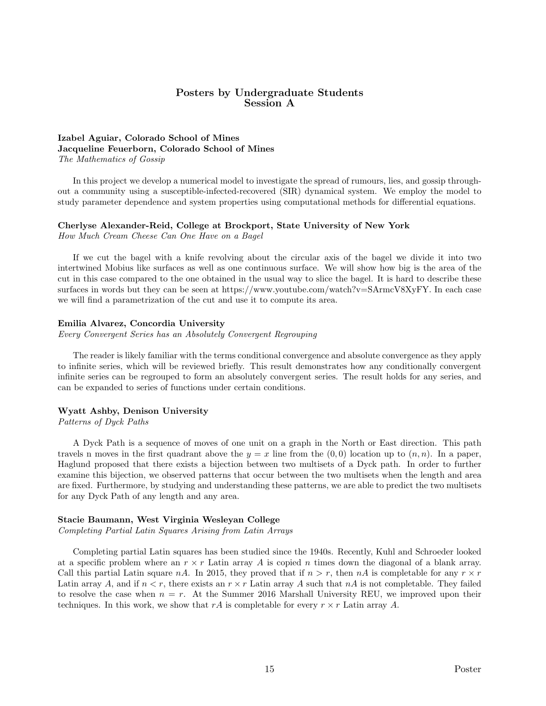# Posters by Undergraduate Students Session A

# Izabel Aguiar, Colorado School of Mines Jacqueline Feuerborn, Colorado School of Mines The Mathematics of Gossip

In this project we develop a numerical model to investigate the spread of rumours, lies, and gossip throughout a community using a susceptible-infected-recovered (SIR) dynamical system. We employ the model to study parameter dependence and system properties using computational methods for differential equations.

# Cherlyse Alexander-Reid, College at Brockport, State University of New York

How Much Cream Cheese Can One Have on a Bagel

If we cut the bagel with a knife revolving about the circular axis of the bagel we divide it into two intertwined Mobius like surfaces as well as one continuous surface. We will show how big is the area of the cut in this case compared to the one obtained in the usual way to slice the bagel. It is hard to describe these surfaces in words but they can be seen at https://www.youtube.com/watch?v=SArmcV8XyFY. In each case we will find a parametrization of the cut and use it to compute its area.

# Emilia Alvarez, Concordia University

Every Convergent Series has an Absolutely Convergent Regrouping

The reader is likely familiar with the terms conditional convergence and absolute convergence as they apply to infinite series, which will be reviewed briefly. This result demonstrates how any conditionally convergent infinite series can be regrouped to form an absolutely convergent series. The result holds for any series, and can be expanded to series of functions under certain conditions.

# Wyatt Ashby, Denison University

Patterns of Dyck Paths

A Dyck Path is a sequence of moves of one unit on a graph in the North or East direction. This path travels n moves in the first quadrant above the  $y = x$  line from the  $(0, 0)$  location up to  $(n, n)$ . In a paper, Haglund proposed that there exists a bijection between two multisets of a Dyck path. In order to further examine this bijection, we observed patterns that occur between the two multisets when the length and area are fixed. Furthermore, by studying and understanding these patterns, we are able to predict the two multisets for any Dyck Path of any length and any area.

# Stacie Baumann, West Virginia Wesleyan College

Completing Partial Latin Squares Arising from Latin Arrays

Completing partial Latin squares has been studied since the 1940s. Recently, Kuhl and Schroeder looked at a specific problem where an  $r \times r$  Latin array A is copied n times down the diagonal of a blank array. Call this partial Latin square nA. In 2015, they proved that if  $n > r$ , then nA is completable for any  $r \times r$ Latin array A, and if  $n < r$ , there exists an  $r \times r$  Latin array A such that nA is not completable. They failed to resolve the case when  $n = r$ . At the Summer 2016 Marshall University REU, we improved upon their techniques. In this work, we show that rA is completable for every  $r \times r$  Latin array A.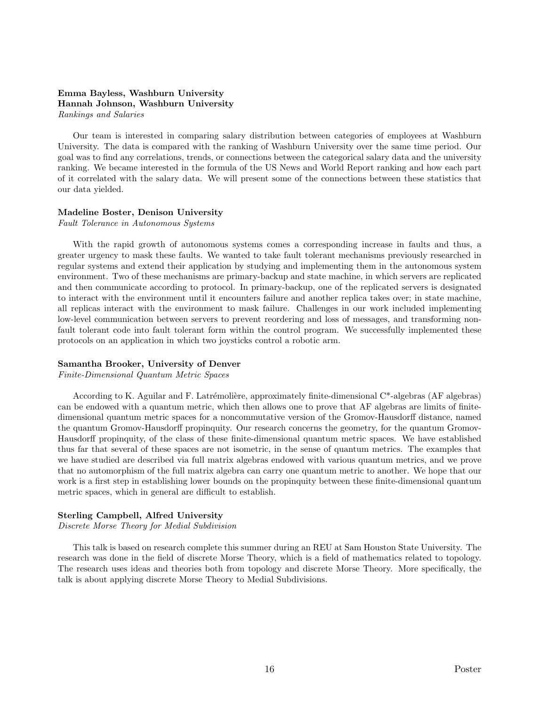# Emma Bayless, Washburn University Hannah Johnson, Washburn University Rankings and Salaries

Our team is interested in comparing salary distribution between categories of employees at Washburn University. The data is compared with the ranking of Washburn University over the same time period. Our goal was to find any correlations, trends, or connections between the categorical salary data and the university ranking. We became interested in the formula of the US News and World Report ranking and how each part of it correlated with the salary data. We will present some of the connections between these statistics that our data yielded.

### Madeline Boster, Denison University

Fault Tolerance in Autonomous Systems

With the rapid growth of autonomous systems comes a corresponding increase in faults and thus, a greater urgency to mask these faults. We wanted to take fault tolerant mechanisms previously researched in regular systems and extend their application by studying and implementing them in the autonomous system environment. Two of these mechanisms are primary-backup and state machine, in which servers are replicated and then communicate according to protocol. In primary-backup, one of the replicated servers is designated to interact with the environment until it encounters failure and another replica takes over; in state machine, all replicas interact with the environment to mask failure. Challenges in our work included implementing low-level communication between servers to prevent reordering and loss of messages, and transforming nonfault tolerant code into fault tolerant form within the control program. We successfully implemented these protocols on an application in which two joysticks control a robotic arm.

# Samantha Brooker, University of Denver

Finite-Dimensional Quantum Metric Spaces

According to K. Aguilar and F. Latrémolière, approximately finite-dimensional  $C^*$ -algebras (AF algebras) can be endowed with a quantum metric, which then allows one to prove that AF algebras are limits of finitedimensional quantum metric spaces for a noncommutative version of the Gromov-Hausdorff distance, named the quantum Gromov-Hausdorff propinquity. Our research concerns the geometry, for the quantum Gromov-Hausdorff propinquity, of the class of these finite-dimensional quantum metric spaces. We have established thus far that several of these spaces are not isometric, in the sense of quantum metrics. The examples that we have studied are described via full matrix algebras endowed with various quantum metrics, and we prove that no automorphism of the full matrix algebra can carry one quantum metric to another. We hope that our work is a first step in establishing lower bounds on the propinquity between these finite-dimensional quantum metric spaces, which in general are difficult to establish.

### Sterling Campbell, Alfred University

Discrete Morse Theory for Medial Subdivision

This talk is based on research complete this summer during an REU at Sam Houston State University. The research was done in the field of discrete Morse Theory, which is a field of mathematics related to topology. The research uses ideas and theories both from topology and discrete Morse Theory. More specifically, the talk is about applying discrete Morse Theory to Medial Subdivisions.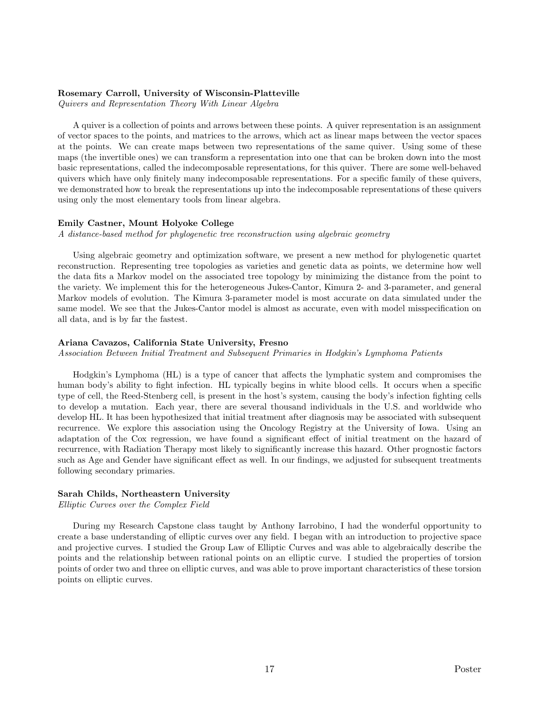### Rosemary Carroll, University of Wisconsin-Platteville

Quivers and Representation Theory With Linear Algebra

A quiver is a collection of points and arrows between these points. A quiver representation is an assignment of vector spaces to the points, and matrices to the arrows, which act as linear maps between the vector spaces at the points. We can create maps between two representations of the same quiver. Using some of these maps (the invertible ones) we can transform a representation into one that can be broken down into the most basic representations, called the indecomposable representations, for this quiver. There are some well-behaved quivers which have only finitely many indecomposable representations. For a specific family of these quivers, we demonstrated how to break the representations up into the indecomposable representations of these quivers using only the most elementary tools from linear algebra.

### Emily Castner, Mount Holyoke College

A distance-based method for phylogenetic tree reconstruction using algebraic geometry

Using algebraic geometry and optimization software, we present a new method for phylogenetic quartet reconstruction. Representing tree topologies as varieties and genetic data as points, we determine how well the data fits a Markov model on the associated tree topology by minimizing the distance from the point to the variety. We implement this for the heterogeneous Jukes-Cantor, Kimura 2- and 3-parameter, and general Markov models of evolution. The Kimura 3-parameter model is most accurate on data simulated under the same model. We see that the Jukes-Cantor model is almost as accurate, even with model misspecification on all data, and is by far the fastest.

### Ariana Cavazos, California State University, Fresno

Association Between Initial Treatment and Subsequent Primaries in Hodgkin's Lymphoma Patients

Hodgkin's Lymphoma (HL) is a type of cancer that affects the lymphatic system and compromises the human body's ability to fight infection. HL typically begins in white blood cells. It occurs when a specific type of cell, the Reed-Stenberg cell, is present in the host's system, causing the body's infection fighting cells to develop a mutation. Each year, there are several thousand individuals in the U.S. and worldwide who develop HL. It has been hypothesized that initial treatment after diagnosis may be associated with subsequent recurrence. We explore this association using the Oncology Registry at the University of Iowa. Using an adaptation of the Cox regression, we have found a significant effect of initial treatment on the hazard of recurrence, with Radiation Therapy most likely to significantly increase this hazard. Other prognostic factors such as Age and Gender have significant effect as well. In our findings, we adjusted for subsequent treatments following secondary primaries.

### Sarah Childs, Northeastern University

Elliptic Curves over the Complex Field

During my Research Capstone class taught by Anthony Iarrobino, I had the wonderful opportunity to create a base understanding of elliptic curves over any field. I began with an introduction to projective space and projective curves. I studied the Group Law of Elliptic Curves and was able to algebraically describe the points and the relationship between rational points on an elliptic curve. I studied the properties of torsion points of order two and three on elliptic curves, and was able to prove important characteristics of these torsion points on elliptic curves.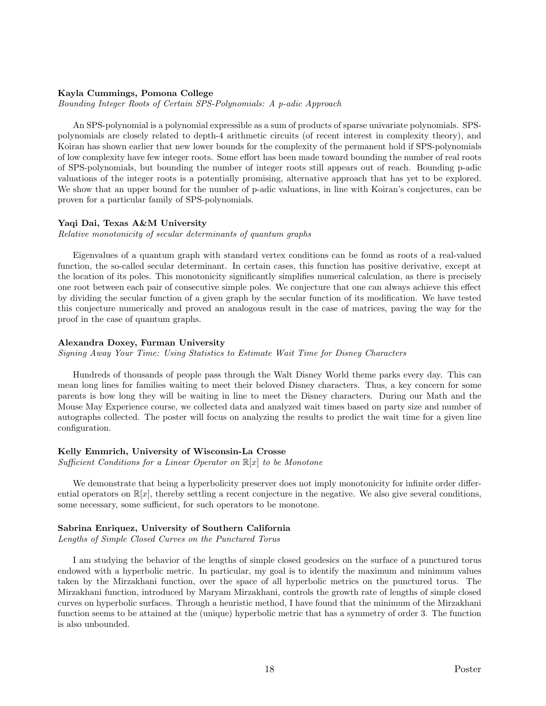# Kayla Cummings, Pomona College

Bounding Integer Roots of Certain SPS-Polynomials: A p-adic Approach

An SPS-polynomial is a polynomial expressible as a sum of products of sparse univariate polynomials. SPSpolynomials are closely related to depth-4 arithmetic circuits (of recent interest in complexity theory), and Koiran has shown earlier that new lower bounds for the complexity of the permanent hold if SPS-polynomials of low complexity have few integer roots. Some effort has been made toward bounding the number of real roots of SPS-polynomials, but bounding the number of integer roots still appears out of reach. Bounding p-adic valuations of the integer roots is a potentially promising, alternative approach that has yet to be explored. We show that an upper bound for the number of p-adic valuations, in line with Koiran's conjectures, can be proven for a particular family of SPS-polynomials.

### Yaqi Dai, Texas A&M University

Relative monotonicity of secular determinants of quantum graphs

Eigenvalues of a quantum graph with standard vertex conditions can be found as roots of a real-valued function, the so-called secular determinant. In certain cases, this function has positive derivative, except at the location of its poles. This monotonicity significantly simplifies numerical calculation, as there is precisely one root between each pair of consecutive simple poles. We conjecture that one can always achieve this effect by dividing the secular function of a given graph by the secular function of its modification. We have tested this conjecture numerically and proved an analogous result in the case of matrices, paving the way for the proof in the case of quantum graphs.

### Alexandra Doxey, Furman University

Signing Away Your Time: Using Statistics to Estimate Wait Time for Disney Characters

Hundreds of thousands of people pass through the Walt Disney World theme parks every day. This can mean long lines for families waiting to meet their beloved Disney characters. Thus, a key concern for some parents is how long they will be waiting in line to meet the Disney characters. During our Math and the Mouse May Experience course, we collected data and analyzed wait times based on party size and number of autographs collected. The poster will focus on analyzing the results to predict the wait time for a given line configuration.

### Kelly Emmrich, University of Wisconsin-La Crosse

Sufficient Conditions for a Linear Operator on  $\mathbb{R}[x]$  to be Monotone

We demonstrate that being a hyperbolicity preserver does not imply monotonicity for infinite order differential operators on  $\mathbb{R}[x]$ , thereby settling a recent conjecture in the negative. We also give several conditions, some necessary, some sufficient, for such operators to be monotone.

### Sabrina Enriquez, University of Southern California

Lengths of Simple Closed Curves on the Punctured Torus

I am studying the behavior of the lengths of simple closed geodesics on the surface of a punctured torus endowed with a hyperbolic metric. In particular, my goal is to identify the maximum and minimum values taken by the Mirzakhani function, over the space of all hyperbolic metrics on the punctured torus. The Mirzakhani function, introduced by Maryam Mirzakhani, controls the growth rate of lengths of simple closed curves on hyperbolic surfaces. Through a heuristic method, I have found that the minimum of the Mirzakhani function seems to be attained at the (unique) hyperbolic metric that has a symmetry of order 3. The function is also unbounded.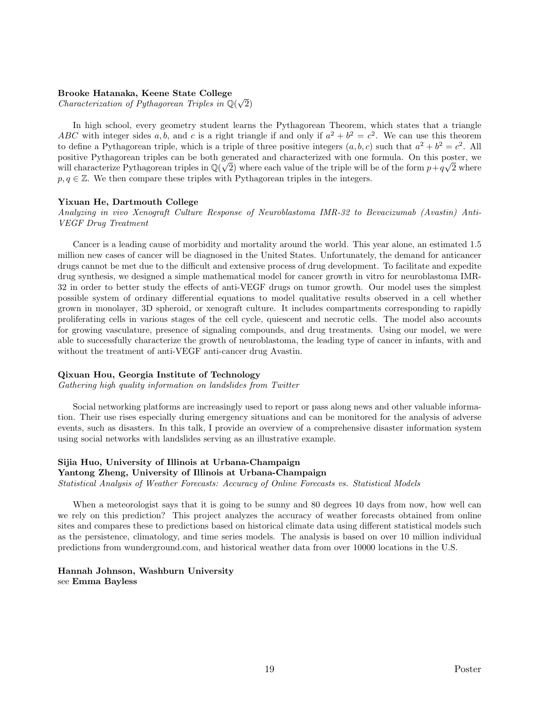# Brooke Hatanaka, Keene State College

**Brooke Hatanaka, Keene State College**<br>Characterization of Pythagorean Triples in  $\mathbb{Q}(\sqrt{\frac{m}{n}})$ 2)

In high school, every geometry student learns the Pythagorean Theorem, which states that a triangle ABC with integer sides a, b, and c is a right triangle if and only if  $a^2 + b^2 = c^2$ . We can use this theorem to define a Pythagorean triple, which is a triple of three positive integers  $(a, b, c)$  such that  $a^2 + b^2 = c^2$ . All positive Pythagorean triples can be both generated and characterized with one formula. On this poster, we will characterize Pythagorean triples in  $\mathbb{Q}(\sqrt{2})$  where each value of the triple will be of the form  $p+q\sqrt{2}$  where  $p, q \in \mathbb{Z}$ . We then compare these triples with Pythagorean triples in the integers.

### Yixuan He, Dartmouth College

Analyzing in vivo Xenograft Culture Response of Neuroblastoma IMR-32 to Bevacizumab (Avastin) Anti-VEGF Drug Treatment

Cancer is a leading cause of morbidity and mortality around the world. This year alone, an estimated 1.5 million new cases of cancer will be diagnosed in the United States. Unfortunately, the demand for anticancer drugs cannot be met due to the difficult and extensive process of drug development. To facilitate and expedite drug synthesis, we designed a simple mathematical model for cancer growth in vitro for neuroblastoma IMR-32 in order to better study the effects of anti-VEGF drugs on tumor growth. Our model uses the simplest possible system of ordinary differential equations to model qualitative results observed in a cell whether grown in monolayer, 3D spheroid, or xenograft culture. It includes compartments corresponding to rapidly proliferating cells in various stages of the cell cycle, quiescent and necrotic cells. The model also accounts for growing vasculature, presence of signaling compounds, and drug treatments. Using our model, we were able to successfully characterize the growth of neuroblastoma, the leading type of cancer in infants, with and without the treatment of anti-VEGF anti-cancer drug Avastin.

# Qixuan Hou, Georgia Institute of Technology

Gathering high quality information on landslides from Twitter

Social networking platforms are increasingly used to report or pass along news and other valuable information. Their use rises especially during emergency situations and can be monitored for the analysis of adverse events, such as disasters. In this talk, I provide an overview of a comprehensive disaster information system using social networks with landslides serving as an illustrative example.

# Sijia Huo, University of Illinois at Urbana-Champaign

# Yantong Zheng, University of Illinois at Urbana-Champaign

Statistical Analysis of Weather Forecasts: Accuracy of Online Forecasts vs. Statistical Models

When a meteorologist says that it is going to be sunny and 80 degrees 10 days from now, how well can we rely on this prediction? This project analyzes the accuracy of weather forecasts obtained from online sites and compares these to predictions based on historical climate data using different statistical models such as the persistence, climatology, and time series models. The analysis is based on over 10 million individual predictions from wunderground.com, and historical weather data from over 10000 locations in the U.S.

# Hannah Johnson, Washburn University see Emma Bayless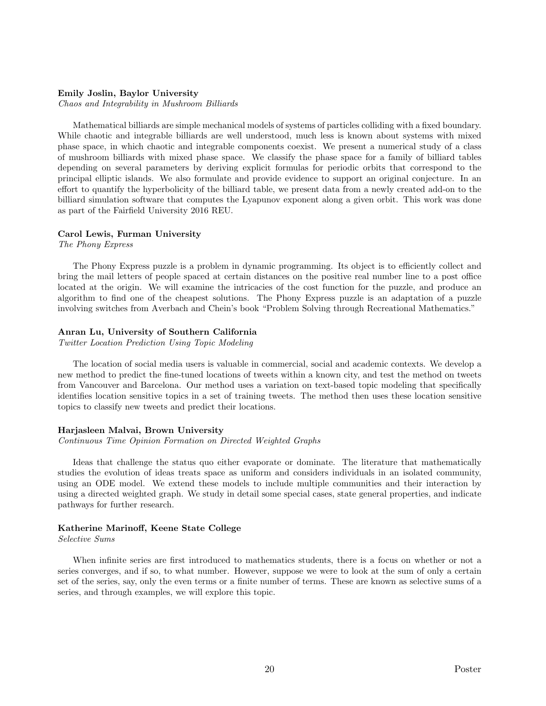### Emily Joslin, Baylor University

Chaos and Integrability in Mushroom Billiards

Mathematical billiards are simple mechanical models of systems of particles colliding with a fixed boundary. While chaotic and integrable billiards are well understood, much less is known about systems with mixed phase space, in which chaotic and integrable components coexist. We present a numerical study of a class of mushroom billiards with mixed phase space. We classify the phase space for a family of billiard tables depending on several parameters by deriving explicit formulas for periodic orbits that correspond to the principal elliptic islands. We also formulate and provide evidence to support an original conjecture. In an effort to quantify the hyperbolicity of the billiard table, we present data from a newly created add-on to the billiard simulation software that computes the Lyapunov exponent along a given orbit. This work was done as part of the Fairfield University 2016 REU.

### Carol Lewis, Furman University

The Phony Express

The Phony Express puzzle is a problem in dynamic programming. Its object is to efficiently collect and bring the mail letters of people spaced at certain distances on the positive real number line to a post office located at the origin. We will examine the intricacies of the cost function for the puzzle, and produce an algorithm to find one of the cheapest solutions. The Phony Express puzzle is an adaptation of a puzzle involving switches from Averbach and Chein's book "Problem Solving through Recreational Mathematics."

### Anran Lu, University of Southern California

Twitter Location Prediction Using Topic Modeling

The location of social media users is valuable in commercial, social and academic contexts. We develop a new method to predict the fine-tuned locations of tweets within a known city, and test the method on tweets from Vancouver and Barcelona. Our method uses a variation on text-based topic modeling that specifically identifies location sensitive topics in a set of training tweets. The method then uses these location sensitive topics to classify new tweets and predict their locations.

### Harjasleen Malvai, Brown University

Continuous Time Opinion Formation on Directed Weighted Graphs

Ideas that challenge the status quo either evaporate or dominate. The literature that mathematically studies the evolution of ideas treats space as uniform and considers individuals in an isolated community, using an ODE model. We extend these models to include multiple communities and their interaction by using a directed weighted graph. We study in detail some special cases, state general properties, and indicate pathways for further research.

### Katherine Marinoff, Keene State College

Selective Sums

When infinite series are first introduced to mathematics students, there is a focus on whether or not a series converges, and if so, to what number. However, suppose we were to look at the sum of only a certain set of the series, say, only the even terms or a finite number of terms. These are known as selective sums of a series, and through examples, we will explore this topic.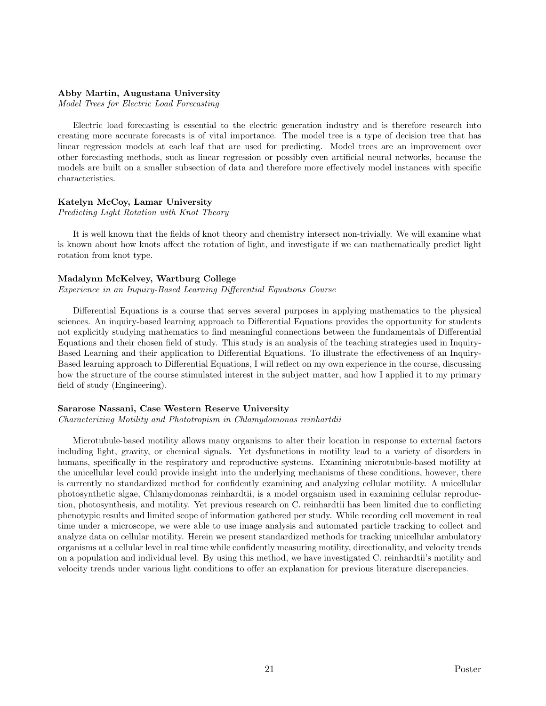### Abby Martin, Augustana University

Model Trees for Electric Load Forecasting

Electric load forecasting is essential to the electric generation industry and is therefore research into creating more accurate forecasts is of vital importance. The model tree is a type of decision tree that has linear regression models at each leaf that are used for predicting. Model trees are an improvement over other forecasting methods, such as linear regression or possibly even artificial neural networks, because the models are built on a smaller subsection of data and therefore more effectively model instances with specific characteristics.

### Katelyn McCoy, Lamar University

Predicting Light Rotation with Knot Theory

It is well known that the fields of knot theory and chemistry intersect non-trivially. We will examine what is known about how knots affect the rotation of light, and investigate if we can mathematically predict light rotation from knot type.

# Madalynn McKelvey, Wartburg College

Experience in an Inquiry-Based Learning Differential Equations Course

Differential Equations is a course that serves several purposes in applying mathematics to the physical sciences. An inquiry-based learning approach to Differential Equations provides the opportunity for students not explicitly studying mathematics to find meaningful connections between the fundamentals of Differential Equations and their chosen field of study. This study is an analysis of the teaching strategies used in Inquiry-Based Learning and their application to Differential Equations. To illustrate the effectiveness of an Inquiry-Based learning approach to Differential Equations, I will reflect on my own experience in the course, discussing how the structure of the course stimulated interest in the subject matter, and how I applied it to my primary field of study (Engineering).

#### Sararose Nassani, Case Western Reserve University

Characterizing Motility and Phototropism in Chlamydomonas reinhartdii

Microtubule-based motility allows many organisms to alter their location in response to external factors including light, gravity, or chemical signals. Yet dysfunctions in motility lead to a variety of disorders in humans, specifically in the respiratory and reproductive systems. Examining microtubule-based motility at the unicellular level could provide insight into the underlying mechanisms of these conditions, however, there is currently no standardized method for confidently examining and analyzing cellular motility. A unicellular photosynthetic algae, Chlamydomonas reinhardtii, is a model organism used in examining cellular reproduction, photosynthesis, and motility. Yet previous research on C. reinhardtii has been limited due to conflicting phenotypic results and limited scope of information gathered per study. While recording cell movement in real time under a microscope, we were able to use image analysis and automated particle tracking to collect and analyze data on cellular motility. Herein we present standardized methods for tracking unicellular ambulatory organisms at a cellular level in real time while confidently measuring motility, directionality, and velocity trends on a population and individual level. By using this method, we have investigated C. reinhardtii's motility and velocity trends under various light conditions to offer an explanation for previous literature discrepancies.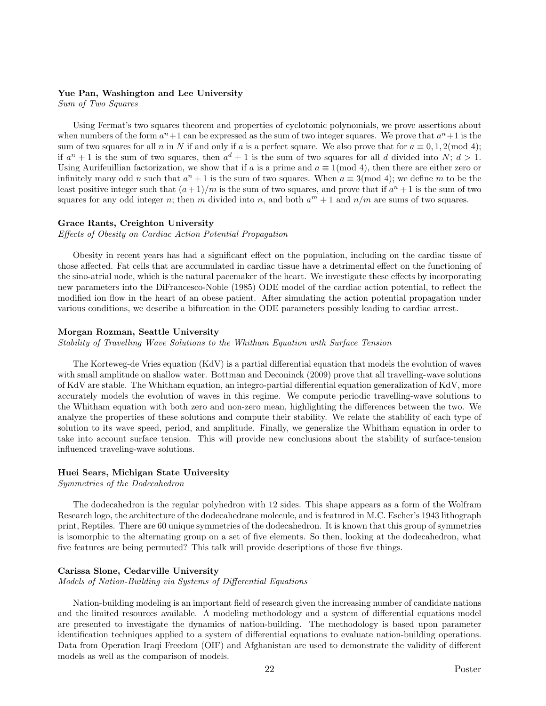# Yue Pan, Washington and Lee University

Sum of Two Squares

Using Fermat's two squares theorem and properties of cyclotomic polynomials, we prove assertions about when numbers of the form  $a^n + 1$  can be expressed as the sum of two integer squares. We prove that  $a^n + 1$  is the sum of two squares for all n in N if and only if a is a perfect square. We also prove that for  $a \equiv 0, 1, 2 \pmod{4}$ ; if  $a^n + 1$  is the sum of two squares, then  $a^d + 1$  is the sum of two squares for all d divided into N;  $d > 1$ . Using Aurifeuillian factorization, we show that if a is a prime and  $a \equiv 1 \pmod{4}$ , then there are either zero or infinitely many odd n such that  $a^n + 1$  is the sum of two squares. When  $a \equiv 3 \pmod{4}$ ; we define m to be the least positive integer such that  $(a+1)/m$  is the sum of two squares, and prove that if  $a<sup>n</sup> + 1$  is the sum of two squares for any odd integer n; then m divided into n, and both  $a^m + 1$  and  $n/m$  are sums of two squares.

### Grace Rants, Creighton University

Effects of Obesity on Cardiac Action Potential Propagation

Obesity in recent years has had a significant effect on the population, including on the cardiac tissue of those affected. Fat cells that are accumulated in cardiac tissue have a detrimental effect on the functioning of the sino-atrial node, which is the natural pacemaker of the heart. We investigate these effects by incorporating new parameters into the DiFrancesco-Noble (1985) ODE model of the cardiac action potential, to reflect the modified ion flow in the heart of an obese patient. After simulating the action potential propagation under various conditions, we describe a bifurcation in the ODE parameters possibly leading to cardiac arrest.

### Morgan Rozman, Seattle University

Stability of Travelling Wave Solutions to the Whitham Equation with Surface Tension

The Korteweg-de Vries equation (KdV) is a partial differential equation that models the evolution of waves with small amplitude on shallow water. Bottman and Deconinck (2009) prove that all travelling-wave solutions of KdV are stable. The Whitham equation, an integro-partial differential equation generalization of KdV, more accurately models the evolution of waves in this regime. We compute periodic travelling-wave solutions to the Whitham equation with both zero and non-zero mean, highlighting the differences between the two. We analyze the properties of these solutions and compute their stability. We relate the stability of each type of solution to its wave speed, period, and amplitude. Finally, we generalize the Whitham equation in order to take into account surface tension. This will provide new conclusions about the stability of surface-tension influenced traveling-wave solutions.

# Huei Sears, Michigan State University

Symmetries of the Dodecahedron

The dodecahedron is the regular polyhedron with 12 sides. This shape appears as a form of the Wolfram Research logo, the architecture of the dodecahedrane molecule, and is featured in M.C. Escher's 1943 lithograph print, Reptiles. There are 60 unique symmetries of the dodecahedron. It is known that this group of symmetries is isomorphic to the alternating group on a set of five elements. So then, looking at the dodecahedron, what five features are being permuted? This talk will provide descriptions of those five things.

### Carissa Slone, Cedarville University

Models of Nation-Building via Systems of Differential Equations

Nation-building modeling is an important field of research given the increasing number of candidate nations and the limited resources available. A modeling methodology and a system of differential equations model are presented to investigate the dynamics of nation-building. The methodology is based upon parameter identification techniques applied to a system of differential equations to evaluate nation-building operations. Data from Operation Iraqi Freedom (OIF) and Afghanistan are used to demonstrate the validity of different models as well as the comparison of models.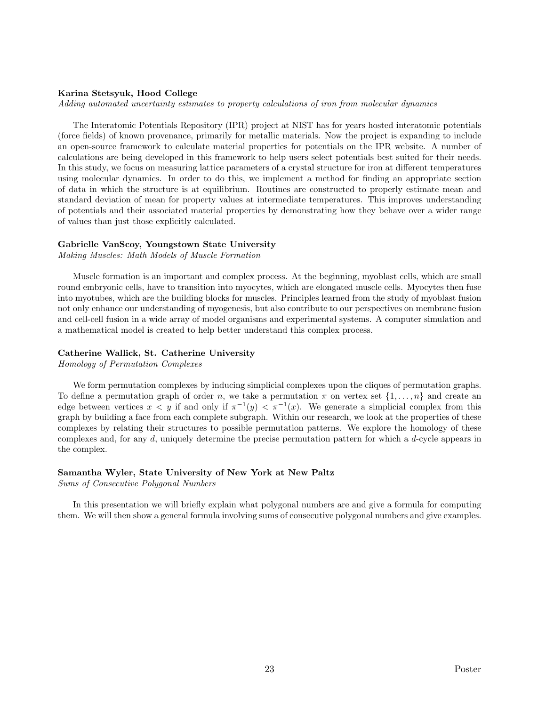### Karina Stetsyuk, Hood College

Adding automated uncertainty estimates to property calculations of iron from molecular dynamics

The Interatomic Potentials Repository (IPR) project at NIST has for years hosted interatomic potentials (force fields) of known provenance, primarily for metallic materials. Now the project is expanding to include an open-source framework to calculate material properties for potentials on the IPR website. A number of calculations are being developed in this framework to help users select potentials best suited for their needs. In this study, we focus on measuring lattice parameters of a crystal structure for iron at different temperatures using molecular dynamics. In order to do this, we implement a method for finding an appropriate section of data in which the structure is at equilibrium. Routines are constructed to properly estimate mean and standard deviation of mean for property values at intermediate temperatures. This improves understanding of potentials and their associated material properties by demonstrating how they behave over a wider range of values than just those explicitly calculated.

### Gabrielle VanScoy, Youngstown State University

Making Muscles: Math Models of Muscle Formation

Muscle formation is an important and complex process. At the beginning, myoblast cells, which are small round embryonic cells, have to transition into myocytes, which are elongated muscle cells. Myocytes then fuse into myotubes, which are the building blocks for muscles. Principles learned from the study of myoblast fusion not only enhance our understanding of myogenesis, but also contribute to our perspectives on membrane fusion and cell-cell fusion in a wide array of model organisms and experimental systems. A computer simulation and a mathematical model is created to help better understand this complex process.

# Catherine Wallick, St. Catherine University

Homology of Permutation Complexes

We form permutation complexes by inducing simplicial complexes upon the cliques of permutation graphs. To define a permutation graph of order n, we take a permutation  $\pi$  on vertex set  $\{1,\ldots,n\}$  and create an edge between vertices  $x < y$  if and only if  $\pi^{-1}(y) < \pi^{-1}(x)$ . We generate a simplicial complex from this graph by building a face from each complete subgraph. Within our research, we look at the properties of these complexes by relating their structures to possible permutation patterns. We explore the homology of these complexes and, for any d, uniquely determine the precise permutation pattern for which a d-cycle appears in the complex.

# Samantha Wyler, State University of New York at New Paltz

Sums of Consecutive Polygonal Numbers

In this presentation we will briefly explain what polygonal numbers are and give a formula for computing them. We will then show a general formula involving sums of consecutive polygonal numbers and give examples.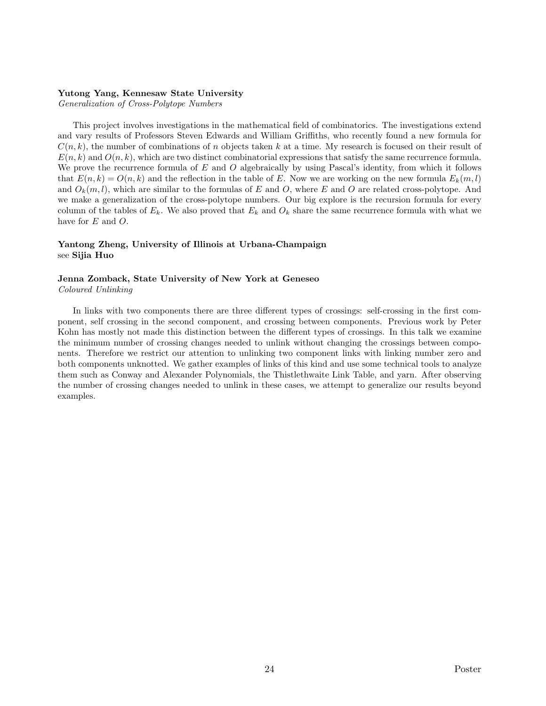# Yutong Yang, Kennesaw State University

Generalization of Cross-Polytope Numbers

This project involves investigations in the mathematical field of combinatorics. The investigations extend and vary results of Professors Steven Edwards and William Griffiths, who recently found a new formula for  $C(n, k)$ , the number of combinations of n objects taken k at a time. My research is focused on their result of  $E(n, k)$  and  $O(n, k)$ , which are two distinct combinatorial expressions that satisfy the same recurrence formula. We prove the recurrence formula of  $E$  and  $O$  algebraically by using Pascal's identity, from which it follows that  $E(n, k) = O(n, k)$  and the reflection in the table of E. Now we are working on the new formula  $E_k(m, l)$ and  $O_k(m, l)$ , which are similar to the formulas of E and O, where E and O are related cross-polytope. And we make a generalization of the cross-polytope numbers. Our big explore is the recursion formula for every column of the tables of  $E_k$ . We also proved that  $E_k$  and  $O_k$  share the same recurrence formula with what we have for E and O.

# Yantong Zheng, University of Illinois at Urbana-Champaign see Sijia Huo

# Jenna Zomback, State University of New York at Geneseo Coloured Unlinking

In links with two components there are three different types of crossings: self-crossing in the first component, self crossing in the second component, and crossing between components. Previous work by Peter Kohn has mostly not made this distinction between the different types of crossings. In this talk we examine the minimum number of crossing changes needed to unlink without changing the crossings between components. Therefore we restrict our attention to unlinking two component links with linking number zero and both components unknotted. We gather examples of links of this kind and use some technical tools to analyze them such as Conway and Alexander Polynomials, the Thistlethwaite Link Table, and yarn. After observing the number of crossing changes needed to unlink in these cases, we attempt to generalize our results beyond examples.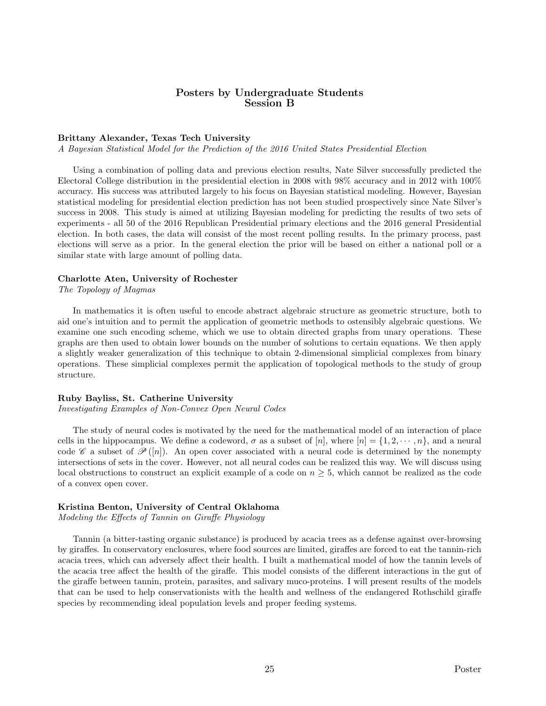# Posters by Undergraduate Students Session B

### Brittany Alexander, Texas Tech University

A Bayesian Statistical Model for the Prediction of the 2016 United States Presidential Election

Using a combination of polling data and previous election results, Nate Silver successfully predicted the Electoral College distribution in the presidential election in 2008 with 98% accuracy and in 2012 with 100% accuracy. His success was attributed largely to his focus on Bayesian statistical modeling. However, Bayesian statistical modeling for presidential election prediction has not been studied prospectively since Nate Silver's success in 2008. This study is aimed at utilizing Bayesian modeling for predicting the results of two sets of experiments - all 50 of the 2016 Republican Presidential primary elections and the 2016 general Presidential election. In both cases, the data will consist of the most recent polling results. In the primary process, past elections will serve as a prior. In the general election the prior will be based on either a national poll or a similar state with large amount of polling data.

# Charlotte Aten, University of Rochester

The Topology of Magmas

In mathematics it is often useful to encode abstract algebraic structure as geometric structure, both to aid one's intuition and to permit the application of geometric methods to ostensibly algebraic questions. We examine one such encoding scheme, which we use to obtain directed graphs from unary operations. These graphs are then used to obtain lower bounds on the number of solutions to certain equations. We then apply a slightly weaker generalization of this technique to obtain 2-dimensional simplicial complexes from binary operations. These simplicial complexes permit the application of topological methods to the study of group structure.

### Ruby Bayliss, St. Catherine University

Investigating Examples of Non-Convex Open Neural Codes

The study of neural codes is motivated by the need for the mathematical model of an interaction of place cells in the hippocampus. We define a codeword,  $\sigma$  as a subset of  $[n]$ , where  $[n] = \{1, 2, \dots, n\}$ , and a neural code C a subset of  $\mathscr{P}([n])$ . An open cover associated with a neural code is determined by the nonempty intersections of sets in the cover. However, not all neural codes can be realized this way. We will discuss using local obstructions to construct an explicit example of a code on  $n \geq 5$ , which cannot be realized as the code of a convex open cover.

### Kristina Benton, University of Central Oklahoma

Modeling the Effects of Tannin on Giraffe Physiology

Tannin (a bitter-tasting organic substance) is produced by acacia trees as a defense against over-browsing by giraffes. In conservatory enclosures, where food sources are limited, giraffes are forced to eat the tannin-rich acacia trees, which can adversely affect their health. I built a mathematical model of how the tannin levels of the acacia tree affect the health of the giraffe. This model consists of the different interactions in the gut of the giraffe between tannin, protein, parasites, and salivary muco-proteins. I will present results of the models that can be used to help conservationists with the health and wellness of the endangered Rothschild giraffe species by recommending ideal population levels and proper feeding systems.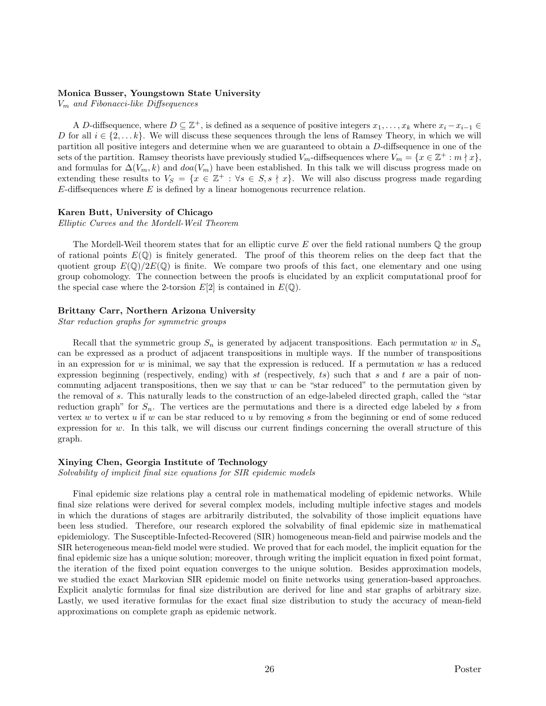# Monica Busser, Youngstown State University

 $V_m$  and Fibonacci-like Diffsequences

A D-diffsequence, where  $D \subseteq \mathbb{Z}^+$ , is defined as a sequence of positive integers  $x_1, \ldots, x_k$  where  $x_i - x_{i-1} \in$ D for all  $i \in \{2, \ldots k\}$ . We will discuss these sequences through the lens of Ramsey Theory, in which we will partition all positive integers and determine when we are guaranteed to obtain a D-diffsequence in one of the sets of the partition. Ramsey theorists have previously studied  $V_m$ -diffsequences where  $V_m = \{x \in \mathbb{Z}^+ : m \nmid x\}$ , and formulas for  $\Delta(V_m, k)$  and  $doa(V_m)$  have been established. In this talk we will discuss progress made on extending these results to  $V_S = \{x \in \mathbb{Z}^+ : \forall s \in S, s \nmid x\}.$  We will also discuss progress made regarding  $E$ -diffsequences where  $E$  is defined by a linear homogenous recurrence relation.

### Karen Butt, University of Chicago

Elliptic Curves and the Mordell-Weil Theorem

The Mordell-Weil theorem states that for an elliptic curve  $E$  over the field rational numbers  $\mathbb Q$  the group of rational points  $E(\mathbb{Q})$  is finitely generated. The proof of this theorem relies on the deep fact that the quotient group  $E(\mathbb{Q})/2E(\mathbb{Q})$  is finite. We compare two proofs of this fact, one elementary and one using group cohomology. The connection between the proofs is elucidated by an explicit computational proof for the special case where the 2-torsion  $E[2]$  is contained in  $E(\mathbb{Q})$ .

# Brittany Carr, Northern Arizona University

Star reduction graphs for symmetric groups

Recall that the symmetric group  $S_n$  is generated by adjacent transpositions. Each permutation w in  $S_n$ can be expressed as a product of adjacent transpositions in multiple ways. If the number of transpositions in an expression for w is minimal, we say that the expression is reduced. If a permutation w has a reduced expression beginning (respectively, ending) with st (respectively, ts) such that s and t are a pair of noncommuting adjacent transpositions, then we say that  $w$  can be "star reduced" to the permutation given by the removal of s. This naturally leads to the construction of an edge-labeled directed graph, called the "star reduction graph" for  $S_n$ . The vertices are the permutations and there is a directed edge labeled by s from vertex  $w$  to vertex  $u$  if  $w$  can be star reduced to  $u$  by removing  $s$  from the beginning or end of some reduced expression for  $w$ . In this talk, we will discuss our current findings concerning the overall structure of this graph.

### Xinying Chen, Georgia Institute of Technology

Solvability of implicit final size equations for SIR epidemic models

Final epidemic size relations play a central role in mathematical modeling of epidemic networks. While final size relations were derived for several complex models, including multiple infective stages and models in which the durations of stages are arbitrarily distributed, the solvability of those implicit equations have been less studied. Therefore, our research explored the solvability of final epidemic size in mathematical epidemiology. The Susceptible-Infected-Recovered (SIR) homogeneous mean-field and pairwise models and the SIR heterogeneous mean-field model were studied. We proved that for each model, the implicit equation for the final epidemic size has a unique solution; moreover, through writing the implicit equation in fixed point format, the iteration of the fixed point equation converges to the unique solution. Besides approximation models, we studied the exact Markovian SIR epidemic model on finite networks using generation-based approaches. Explicit analytic formulas for final size distribution are derived for line and star graphs of arbitrary size. Lastly, we used iterative formulas for the exact final size distribution to study the accuracy of mean-field approximations on complete graph as epidemic network.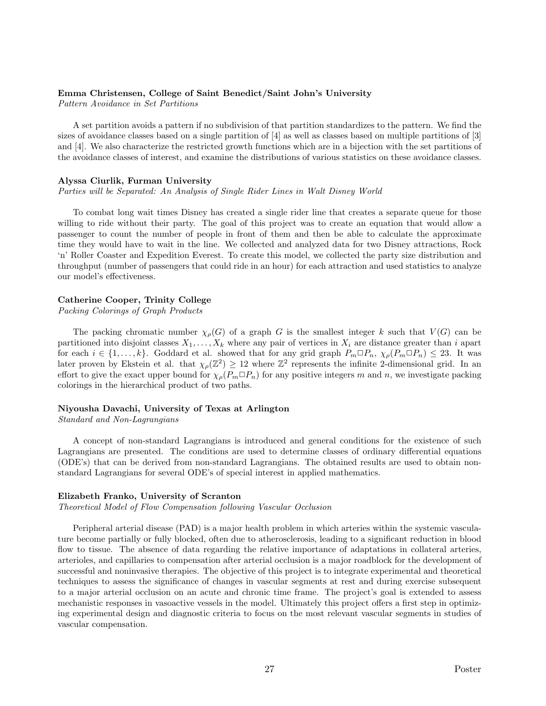### Emma Christensen, College of Saint Benedict/Saint John's University

Pattern Avoidance in Set Partitions

A set partition avoids a pattern if no subdivision of that partition standardizes to the pattern. We find the sizes of avoidance classes based on a single partition of [4] as well as classes based on multiple partitions of [3] and [4]. We also characterize the restricted growth functions which are in a bijection with the set partitions of the avoidance classes of interest, and examine the distributions of various statistics on these avoidance classes.

### Alyssa Ciurlik, Furman University

Parties will be Separated: An Analysis of Single Rider Lines in Walt Disney World

To combat long wait times Disney has created a single rider line that creates a separate queue for those willing to ride without their party. The goal of this project was to create an equation that would allow a passenger to count the number of people in front of them and then be able to calculate the approximate time they would have to wait in the line. We collected and analyzed data for two Disney attractions, Rock 'n' Roller Coaster and Expedition Everest. To create this model, we collected the party size distribution and throughput (number of passengers that could ride in an hour) for each attraction and used statistics to analyze our model's effectiveness.

# Catherine Cooper, Trinity College

Packing Colorings of Graph Products

The packing chromatic number  $\chi_{\rho}(G)$  of a graph G is the smallest integer k such that  $V(G)$  can be partitioned into disjoint classes  $X_1, \ldots, X_k$  where any pair of vertices in  $X_i$  are distance greater than i apart for each  $i \in \{1,\ldots,k\}$ . Goddard et al. showed that for any grid graph  $P_m \Box P_n$ ,  $\chi_\rho(P_m \Box P_n) \leq 23$ . It was later proven by Ekstein et al. that  $\chi_{\rho}(\mathbb{Z}^2) \geq 12$  where  $\mathbb{Z}^2$  represents the infinite 2-dimensional grid. In an effort to give the exact upper bound for  $\chi_{\rho}(P_m \Box P_n)$  for any positive integers m and n, we investigate packing colorings in the hierarchical product of two paths.

### Niyousha Davachi, University of Texas at Arlington

Standard and Non-Lagrangians

A concept of non-standard Lagrangians is introduced and general conditions for the existence of such Lagrangians are presented. The conditions are used to determine classes of ordinary differential equations (ODE's) that can be derived from non-standard Lagrangians. The obtained results are used to obtain nonstandard Lagrangians for several ODE's of special interest in applied mathematics.

### Elizabeth Franko, University of Scranton

Theoretical Model of Flow Compensation following Vascular Occlusion

Peripheral arterial disease (PAD) is a major health problem in which arteries within the systemic vasculature become partially or fully blocked, often due to atherosclerosis, leading to a significant reduction in blood flow to tissue. The absence of data regarding the relative importance of adaptations in collateral arteries, arterioles, and capillaries to compensation after arterial occlusion is a major roadblock for the development of successful and noninvasive therapies. The objective of this project is to integrate experimental and theoretical techniques to assess the significance of changes in vascular segments at rest and during exercise subsequent to a major arterial occlusion on an acute and chronic time frame. The project's goal is extended to assess mechanistic responses in vasoactive vessels in the model. Ultimately this project offers a first step in optimizing experimental design and diagnostic criteria to focus on the most relevant vascular segments in studies of vascular compensation.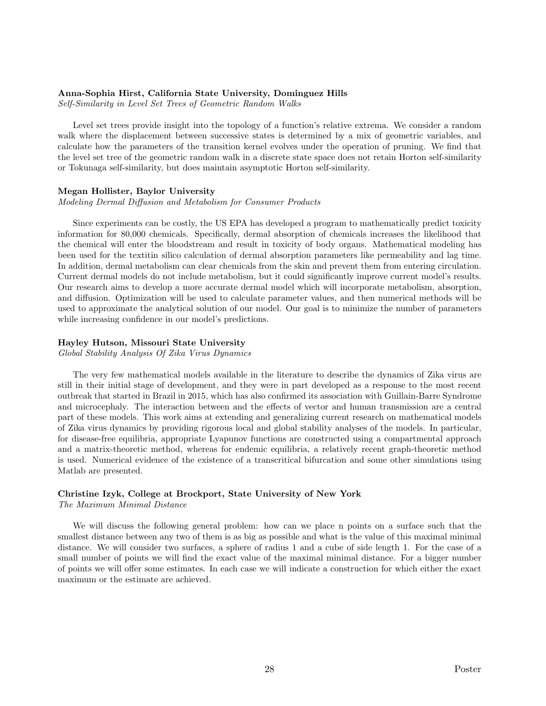# Anna-Sophia Hirst, California State University, Dominguez Hills

Self-Similarity in Level Set Trees of Geometric Random Walks

Level set trees provide insight into the topology of a function's relative extrema. We consider a random walk where the displacement between successive states is determined by a mix of geometric variables, and calculate how the parameters of the transition kernel evolves under the operation of pruning. We find that the level set tree of the geometric random walk in a discrete state space does not retain Horton self-similarity or Tokunaga self-similarity, but does maintain asymptotic Horton self-similarity.

### Megan Hollister, Baylor University

Modeling Dermal Diffusion and Metabolism for Consumer Products

Since experiments can be costly, the US EPA has developed a program to mathematically predict toxicity information for 80,000 chemicals. Specifically, dermal absorption of chemicals increases the likelihood that the chemical will enter the bloodstream and result in toxicity of body organs. Mathematical modeling has been used for the textitin silico calculation of dermal absorption parameters like permeability and lag time. In addition, dermal metabolism can clear chemicals from the skin and prevent them from entering circulation. Current dermal models do not include metabolism, but it could significantly improve current model's results. Our research aims to develop a more accurate dermal model which will incorporate metabolism, absorption, and diffusion. Optimization will be used to calculate parameter values, and then numerical methods will be used to approximate the analytical solution of our model. Our goal is to minimize the number of parameters while increasing confidence in our model's predictions.

### Hayley Hutson, Missouri State University

Global Stability Analysis Of Zika Virus Dynamics

The very few mathematical models available in the literature to describe the dynamics of Zika virus are still in their initial stage of development, and they were in part developed as a response to the most recent outbreak that started in Brazil in 2015, which has also confirmed its association with Guillain-Barre Syndrome and microcephaly. The interaction between and the effects of vector and human transmission are a central part of these models. This work aims at extending and generalizing current research on mathematical models of Zika virus dynamics by providing rigorous local and global stability analyses of the models. In particular, for disease-free equilibria, appropriate Lyapunov functions are constructed using a compartmental approach and a matrix-theoretic method, whereas for endemic equilibria, a relatively recent graph-theoretic method is used. Numerical evidence of the existence of a transcritical bifurcation and some other simulations using Matlab are presented.

# Christine Izyk, College at Brockport, State University of New York

The Maximum Minimal Distance

We will discuss the following general problem: how can we place n points on a surface such that the smallest distance between any two of them is as big as possible and what is the value of this maximal minimal distance. We will consider two surfaces, a sphere of radius 1 and a cube of side length 1. For the case of a small number of points we will find the exact value of the maximal minimal distance. For a bigger number of points we will offer some estimates. In each case we will indicate a construction for which either the exact maximum or the estimate are achieved.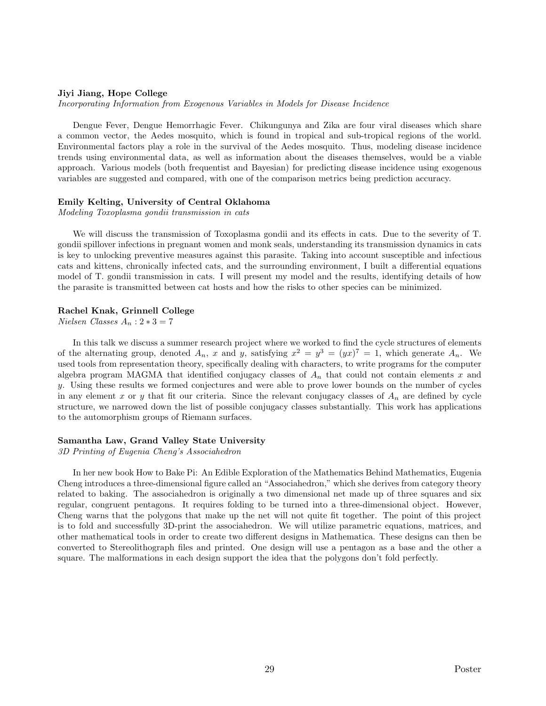### Jiyi Jiang, Hope College

Incorporating Information from Exogenous Variables in Models for Disease Incidence

Dengue Fever, Dengue Hemorrhagic Fever. Chikungunya and Zika are four viral diseases which share a common vector, the Aedes mosquito, which is found in tropical and sub-tropical regions of the world. Environmental factors play a role in the survival of the Aedes mosquito. Thus, modeling disease incidence trends using environmental data, as well as information about the diseases themselves, would be a viable approach. Various models (both frequentist and Bayesian) for predicting disease incidence using exogenous variables are suggested and compared, with one of the comparison metrics being prediction accuracy.

### Emily Kelting, University of Central Oklahoma

Modeling Toxoplasma gondii transmission in cats

We will discuss the transmission of Toxoplasma gondii and its effects in cats. Due to the severity of T. gondii spillover infections in pregnant women and monk seals, understanding its transmission dynamics in cats is key to unlocking preventive measures against this parasite. Taking into account susceptible and infectious cats and kittens, chronically infected cats, and the surrounding environment, I built a differential equations model of T. gondii transmission in cats. I will present my model and the results, identifying details of how the parasite is transmitted between cat hosts and how the risks to other species can be minimized.

### Rachel Knak, Grinnell College

 $Nielsen Classes A_n : 2*3 = 7$ 

In this talk we discuss a summer research project where we worked to find the cycle structures of elements of the alternating group, denoted  $A_n$ , x and y, satisfying  $x^2 = y^3 = (yx)^7 = 1$ , which generate  $A_n$ . We used tools from representation theory, specifically dealing with characters, to write programs for the computer algebra program MAGMA that identified conjugacy classes of  $A_n$  that could not contain elements x and y. Using these results we formed conjectures and were able to prove lower bounds on the number of cycles in any element x or y that fit our criteria. Since the relevant conjugacy classes of  $A_n$  are defined by cycle structure, we narrowed down the list of possible conjugacy classes substantially. This work has applications to the automorphism groups of Riemann surfaces.

### Samantha Law, Grand Valley State University

3D Printing of Eugenia Cheng's Associahedron

In her new book How to Bake Pi: An Edible Exploration of the Mathematics Behind Mathematics, Eugenia Cheng introduces a three-dimensional figure called an "Associahedron," which she derives from category theory related to baking. The associahedron is originally a two dimensional net made up of three squares and six regular, congruent pentagons. It requires folding to be turned into a three-dimensional object. However, Cheng warns that the polygons that make up the net will not quite fit together. The point of this project is to fold and successfully 3D-print the associahedron. We will utilize parametric equations, matrices, and other mathematical tools in order to create two different designs in Mathematica. These designs can then be converted to Stereolithograph files and printed. One design will use a pentagon as a base and the other a square. The malformations in each design support the idea that the polygons don't fold perfectly.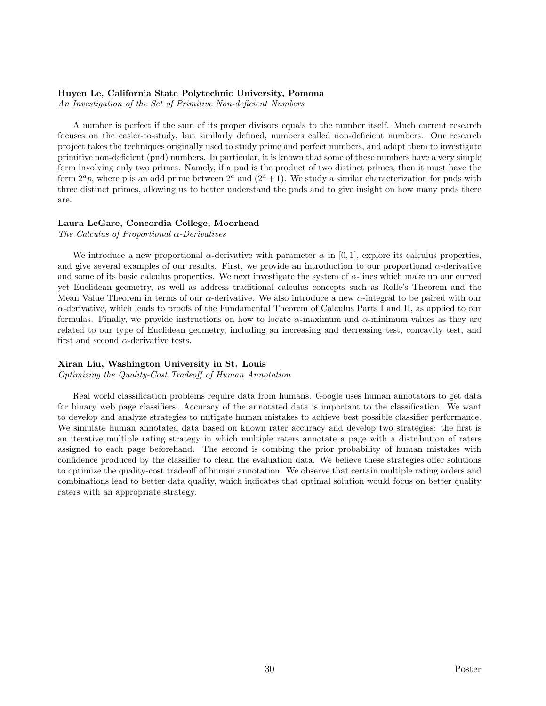### Huyen Le, California State Polytechnic University, Pomona

An Investigation of the Set of Primitive Non-deficient Numbers

A number is perfect if the sum of its proper divisors equals to the number itself. Much current research focuses on the easier-to-study, but similarly defined, numbers called non-deficient numbers. Our research project takes the techniques originally used to study prime and perfect numbers, and adapt them to investigate primitive non-deficient (pnd) numbers. In particular, it is known that some of these numbers have a very simple form involving only two primes. Namely, if a pnd is the product of two distinct primes, then it must have the form  $2^a p$ , where p is an odd prime between  $2^a$  and  $(2^a + 1)$ . We study a similar characterization for pnds with three distinct primes, allowing us to better understand the pnds and to give insight on how many pnds there are.

### Laura LeGare, Concordia College, Moorhead

The Calculus of Proportional  $\alpha$ -Derivatives

We introduce a new proportional  $\alpha$ -derivative with parameter  $\alpha$  in [0, 1], explore its calculus properties, and give several examples of our results. First, we provide an introduction to our proportional  $\alpha$ -derivative and some of its basic calculus properties. We next investigate the system of  $\alpha$ -lines which make up our curved yet Euclidean geometry, as well as address traditional calculus concepts such as Rolle's Theorem and the Mean Value Theorem in terms of our  $\alpha$ -derivative. We also introduce a new  $\alpha$ -integral to be paired with our α-derivative, which leads to proofs of the Fundamental Theorem of Calculus Parts I and II, as applied to our formulas. Finally, we provide instructions on how to locate  $\alpha$ -maximum and  $\alpha$ -minimum values as they are related to our type of Euclidean geometry, including an increasing and decreasing test, concavity test, and first and second  $\alpha$ -derivative tests.

# Xiran Liu, Washington University in St. Louis

Optimizing the Quality-Cost Tradeoff of Human Annotation

Real world classification problems require data from humans. Google uses human annotators to get data for binary web page classifiers. Accuracy of the annotated data is important to the classification. We want to develop and analyze strategies to mitigate human mistakes to achieve best possible classifier performance. We simulate human annotated data based on known rater accuracy and develop two strategies: the first is an iterative multiple rating strategy in which multiple raters annotate a page with a distribution of raters assigned to each page beforehand. The second is combing the prior probability of human mistakes with confidence produced by the classifier to clean the evaluation data. We believe these strategies offer solutions to optimize the quality-cost tradeoff of human annotation. We observe that certain multiple rating orders and combinations lead to better data quality, which indicates that optimal solution would focus on better quality raters with an appropriate strategy.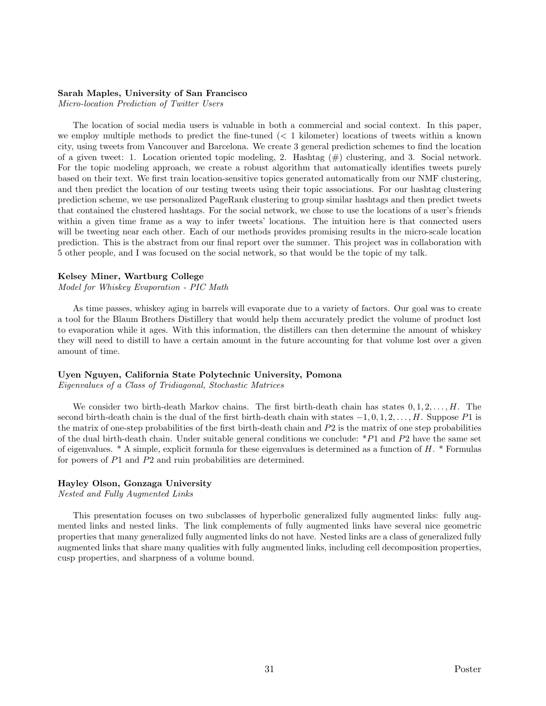### Sarah Maples, University of San Francisco

Micro-location Prediction of Twitter Users

The location of social media users is valuable in both a commercial and social context. In this paper, we employ multiple methods to predict the fine-tuned (< 1 kilometer) locations of tweets within a known city, using tweets from Vancouver and Barcelona. We create 3 general prediction schemes to find the location of a given tweet: 1. Location oriented topic modeling, 2. Hashtag  $(\#)$  clustering, and 3. Social network. For the topic modeling approach, we create a robust algorithm that automatically identifies tweets purely based on their text. We first train location-sensitive topics generated automatically from our NMF clustering, and then predict the location of our testing tweets using their topic associations. For our hashtag clustering prediction scheme, we use personalized PageRank clustering to group similar hashtags and then predict tweets that contained the clustered hashtags. For the social network, we chose to use the locations of a user's friends within a given time frame as a way to infer tweets' locations. The intuition here is that connected users will be tweeting near each other. Each of our methods provides promising results in the micro-scale location prediction. This is the abstract from our final report over the summer. This project was in collaboration with 5 other people, and I was focused on the social network, so that would be the topic of my talk.

### Kelsey Miner, Wartburg College

Model for Whiskey Evaporation - PIC Math

As time passes, whiskey aging in barrels will evaporate due to a variety of factors. Our goal was to create a tool for the Blaum Brothers Distillery that would help them accurately predict the volume of product lost to evaporation while it ages. With this information, the distillers can then determine the amount of whiskey they will need to distill to have a certain amount in the future accounting for that volume lost over a given amount of time.

### Uyen Nguyen, California State Polytechnic University, Pomona

Eigenvalues of a Class of Tridiagonal, Stochastic Matrices

We consider two birth-death Markov chains. The first birth-death chain has states  $0, 1, 2, \ldots, H$ . The second birth-death chain is the dual of the first birth-death chain with states  $-1, 0, 1, 2, \ldots, H$ . Suppose P1 is the matrix of one-step probabilities of the first birth-death chain and  $P2$  is the matrix of one step probabilities of the dual birth-death chain. Under suitable general conditions we conclude:  $*P1$  and  $P2$  have the same set of eigenvalues.  $* A$  simple, explicit formula for these eigenvalues is determined as a function of H.  $*$  Formulas for powers of P1 and P2 and ruin probabilities are determined.

### Hayley Olson, Gonzaga University

Nested and Fully Augmented Links

This presentation focuses on two subclasses of hyperbolic generalized fully augmented links: fully augmented links and nested links. The link complements of fully augmented links have several nice geometric properties that many generalized fully augmented links do not have. Nested links are a class of generalized fully augmented links that share many qualities with fully augmented links, including cell decomposition properties, cusp properties, and sharpness of a volume bound.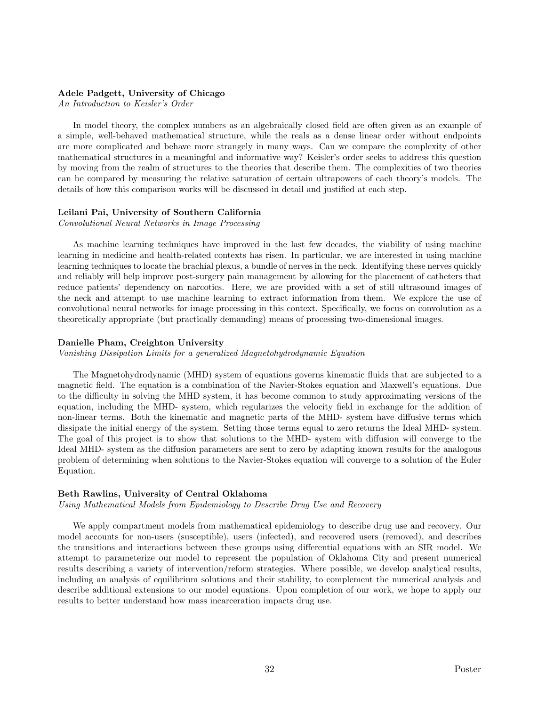# Adele Padgett, University of Chicago

An Introduction to Keisler's Order

In model theory, the complex numbers as an algebraically closed field are often given as an example of a simple, well-behaved mathematical structure, while the reals as a dense linear order without endpoints are more complicated and behave more strangely in many ways. Can we compare the complexity of other mathematical structures in a meaningful and informative way? Keisler's order seeks to address this question by moving from the realm of structures to the theories that describe them. The complexities of two theories can be compared by measuring the relative saturation of certain ultrapowers of each theory's models. The details of how this comparison works will be discussed in detail and justified at each step.

### Leilani Pai, University of Southern California

Convolutional Neural Networks in Image Processing

As machine learning techniques have improved in the last few decades, the viability of using machine learning in medicine and health-related contexts has risen. In particular, we are interested in using machine learning techniques to locate the brachial plexus, a bundle of nerves in the neck. Identifying these nerves quickly and reliably will help improve post-surgery pain management by allowing for the placement of catheters that reduce patients' dependency on narcotics. Here, we are provided with a set of still ultrasound images of the neck and attempt to use machine learning to extract information from them. We explore the use of convolutional neural networks for image processing in this context. Specifically, we focus on convolution as a theoretically appropriate (but practically demanding) means of processing two-dimensional images.

### Danielle Pham, Creighton University

Vanishing Dissipation Limits for a generalized Magnetohydrodynamic Equation

The Magnetohydrodynamic (MHD) system of equations governs kinematic fluids that are subjected to a magnetic field. The equation is a combination of the Navier-Stokes equation and Maxwell's equations. Due to the difficulty in solving the MHD system, it has become common to study approximating versions of the equation, including the MHD- system, which regularizes the velocity field in exchange for the addition of non-linear terms. Both the kinematic and magnetic parts of the MHD- system have diffusive terms which dissipate the initial energy of the system. Setting those terms equal to zero returns the Ideal MHD- system. The goal of this project is to show that solutions to the MHD- system with diffusion will converge to the Ideal MHD- system as the diffusion parameters are sent to zero by adapting known results for the analogous problem of determining when solutions to the Navier-Stokes equation will converge to a solution of the Euler Equation.

### Beth Rawlins, University of Central Oklahoma

Using Mathematical Models from Epidemiology to Describe Drug Use and Recovery

We apply compartment models from mathematical epidemiology to describe drug use and recovery. Our model accounts for non-users (susceptible), users (infected), and recovered users (removed), and describes the transitions and interactions between these groups using differential equations with an SIR model. We attempt to parameterize our model to represent the population of Oklahoma City and present numerical results describing a variety of intervention/reform strategies. Where possible, we develop analytical results, including an analysis of equilibrium solutions and their stability, to complement the numerical analysis and describe additional extensions to our model equations. Upon completion of our work, we hope to apply our results to better understand how mass incarceration impacts drug use.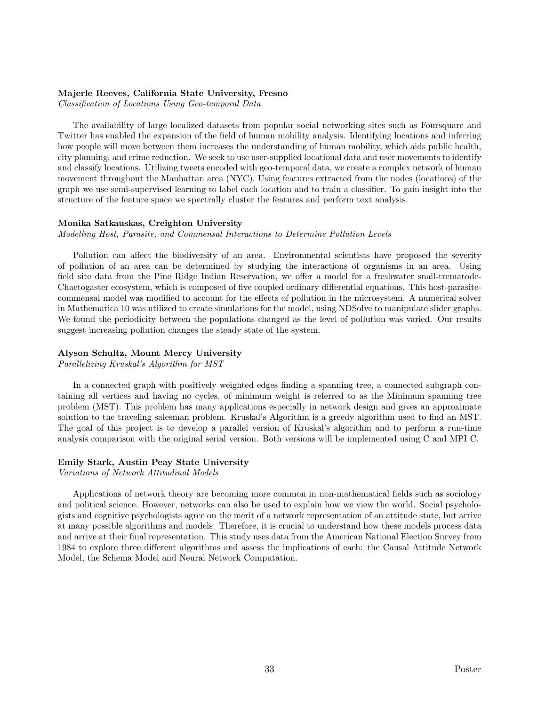### Majerle Reeves, California State University, Fresno

Classification of Locations Using Geo-temporal Data

The availability of large localized datasets from popular social networking sites such as Foursquare and Twitter has enabled the expansion of the field of human mobility analysis. Identifying locations and inferring how people will move between them increases the understanding of human mobility, which aids public health, city planning, and crime reduction. We seek to use user-supplied locational data and user movements to identify and classify locations. Utilizing tweets encoded with geo-temporal data, we create a complex network of human movement throughout the Manhattan area (NYC). Using features extracted from the nodes (locations) of the graph we use semi-supervised learning to label each location and to train a classifier. To gain insight into the structure of the feature space we spectrally cluster the features and perform text analysis.

### Monika Satkauskas, Creighton University

Modelling Host, Parasite, and Commensal Interactions to Determine Pollution Levels

Pollution can affect the biodiversity of an area. Environmental scientists have proposed the severity of pollution of an area can be determined by studying the interactions of organisms in an area. Using field site data from the Pine Ridge Indian Reservation, we offer a model for a freshwater snail-trematode-Chaetogaster ecosystem, which is composed of five coupled ordinary differential equations. This host-parasitecommensal model was modified to account for the effects of pollution in the microsystem. A numerical solver in Mathematica 10 was utilized to create simulations for the model, using NDSolve to manipulate slider graphs. We found the periodicity between the populations changed as the level of pollution was varied. Our results suggest increasing pollution changes the steady state of the system.

# Alyson Schultz, Mount Mercy University

Parallelizing Kruskal's Algorithm for MST

In a connected graph with positively weighted edges finding a spanning tree, a connected subgraph containing all vertices and having no cycles, of minimum weight is referred to as the Minimum spanning tree problem (MST). This problem has many applications especially in network design and gives an approximate solution to the traveling salesman problem. Kruskal's Algorithm is a greedy algorithm used to find an MST. The goal of this project is to develop a parallel version of Kruskal's algorithm and to perform a run-time analysis comparison with the original serial version. Both versions will be implemented using C and MPI C.

#### Emily Stark, Austin Peay State University

Variations of Network Attitudinal Models

Applications of network theory are becoming more common in non-mathematical fields such as sociology and political science. However, networks can also be used to explain how we view the world. Social psychologists and cognitive psychologists agree on the merit of a network representation of an attitude state, but arrive at many possible algorithms and models. Therefore, it is crucial to understand how these models process data and arrive at their final representation. This study uses data from the American National Election Survey from 1984 to explore three different algorithms and assess the implications of each: the Causal Attitude Network Model, the Schema Model and Neural Network Computation.